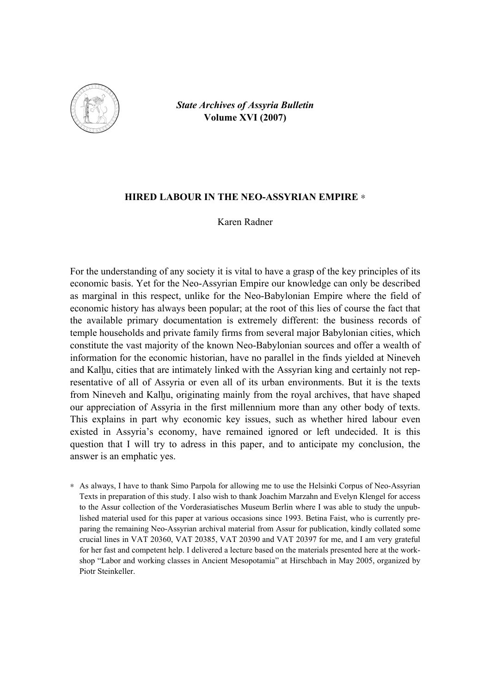

*State Archives of Assyria Bulletin*  **Volume XVI (2007)** 

### **HIRED LABOUR IN THE NEO-ASSYRIAN EMPIRE** ∗

Karen Radner

For the understanding of any society it is vital to have a grasp of the key principles of its economic basis. Yet for the Neo-Assyrian Empire our knowledge can only be described as marginal in this respect, unlike for the Neo-Babylonian Empire where the field of economic history has always been popular; at the root of this lies of course the fact that the available primary documentation is extremely different: the business records of temple households and private family firms from several major Babylonian cities, which constitute the vast majority of the known Neo-Babylonian sources and offer a wealth of information for the economic historian, have no parallel in the finds yielded at Nineveh and Kalhu, cities that are intimately linked with the Assyrian king and certainly not representative of all of Assyria or even all of its urban environments. But it is the texts from Nineveh and Kalhu, originating mainly from the royal archives, that have shaped our appreciation of Assyria in the first millennium more than any other body of texts. This explains in part why economic key issues, such as whether hired labour even existed in Assyria's economy, have remained ignored or left undecided. It is this question that I will try to adress in this paper, and to anticipate my conclusion, the answer is an emphatic yes.

∗ As always, I have to thank Simo Parpola for allowing me to use the Helsinki Corpus of Neo-Assyrian Texts in preparation of this study. I also wish to thank Joachim Marzahn and Evelyn Klengel for access to the Assur collection of the Vorderasiatisches Museum Berlin where I was able to study the unpublished material used for this paper at various occasions since 1993. Betina Faist, who is currently preparing the remaining Neo-Assyrian archival material from Assur for publication, kindly collated some crucial lines in VAT 20360, VAT 20385, VAT 20390 and VAT 20397 for me, and I am very grateful for her fast and competent help. I delivered a lecture based on the materials presented here at the workshop "Labor and working classes in Ancient Mesopotamia" at Hirschbach in May 2005, organized by Piotr Steinkeller.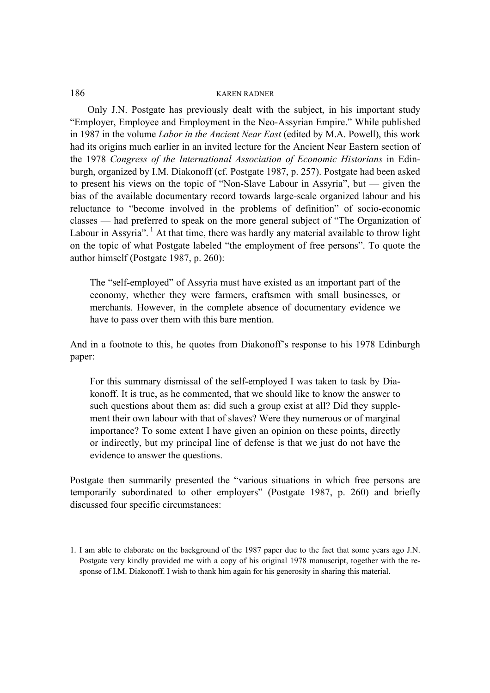Only J.N. Postgate has previously dealt with the subject, in his important study "Employer, Employee and Employment in the Neo-Assyrian Empire." While published in 1987 in the volume *Labor in the Ancient Near East* (edited by M.A. Powell), this work had its origins much earlier in an invited lecture for the Ancient Near Eastern section of the 1978 *Congress of the International Association of Economic Historians* in Edinburgh, organized by I.M. Diakonoff (cf. Postgate 1987, p. 257). Postgate had been asked to present his views on the topic of "Non-Slave Labour in Assyria", but — given the bias of the available documentary record towards large-scale organized labour and his reluctance to "become involved in the problems of definition" of socio-economic classes — had preferred to speak on the more general subject of "The Organization of Labour in Assyria".<sup>1</sup> At that time, there was hardly any material available to throw light on the topic of what Postgate labeled "the employment of free persons". To quote the author himself (Postgate 1987, p. 260):

The "self-employed" of Assyria must have existed as an important part of the economy, whether they were farmers, craftsmen with small businesses, or merchants. However, in the complete absence of documentary evidence we have to pass over them with this bare mention.

And in a footnote to this, he quotes from Diakonoff's response to his 1978 Edinburgh paper:

For this summary dismissal of the self-employed I was taken to task by Diakonoff. It is true, as he commented, that we should like to know the answer to such questions about them as: did such a group exist at all? Did they supplement their own labour with that of slaves? Were they numerous or of marginal importance? To some extent I have given an opinion on these points, directly or indirectly, but my principal line of defense is that we just do not have the evidence to answer the questions.

Postgate then summarily presented the "various situations in which free persons are temporarily subordinated to other employers" (Postgate 1987, p. 260) and briefly discussed four specific circumstances:

<sup>1.</sup> I am able to elaborate on the background of the 1987 paper due to the fact that some years ago J.N. Postgate very kindly provided me with a copy of his original 1978 manuscript, together with the response of I.M. Diakonoff. I wish to thank him again for his generosity in sharing this material.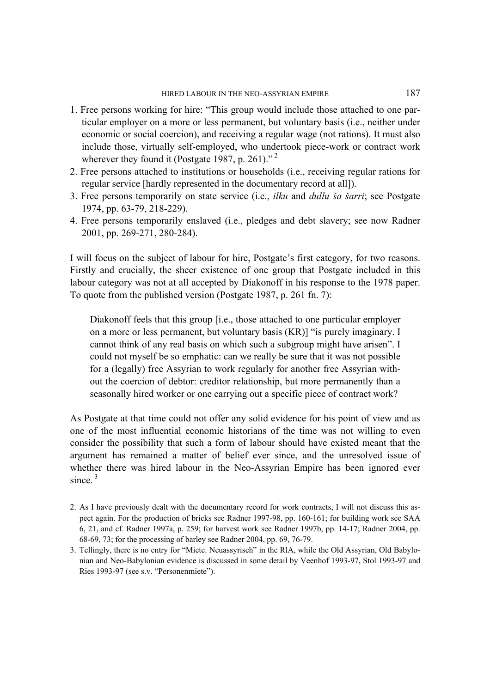- 1. Free persons working for hire: "This group would include those attached to one particular employer on a more or less permanent, but voluntary basis (i.e., neither under economic or social coercion), and receiving a regular wage (not rations). It must also include those, virtually self-employed, who undertook piece-work or contract work wherever they found it (Postgate 1987, p. 261). $^{1,2}$
- 2. Free persons attached to institutions or households (i.e., receiving regular rations for regular service [hardly represented in the documentary record at all]).
- 3. Free persons temporarily on state service (i.e., *ilku* and *dullu ^a ^arri*; see Postgate 1974, pp. 63-79, 218-229).
- 4. Free persons temporarily enslaved (i.e., pledges and debt slavery; see now Radner 2001, pp. 269-271, 280-284).

I will focus on the subject of labour for hire, Postgate's first category, for two reasons. Firstly and crucially, the sheer existence of one group that Postgate included in this labour category was not at all accepted by Diakonoff in his response to the 1978 paper. To quote from the published version (Postgate 1987, p. 261 fn. 7):

Diakonoff feels that this group [i.e., those attached to one particular employer on a more or less permanent, but voluntary basis (KR)] "is purely imaginary. I cannot think of any real basis on which such a subgroup might have arisen". I could not myself be so emphatic: can we really be sure that it was not possible for a (legally) free Assyrian to work regularly for another free Assyrian without the coercion of debtor: creditor relationship, but more permanently than a seasonally hired worker or one carrying out a specific piece of contract work?

As Postgate at that time could not offer any solid evidence for his point of view and as one of the most influential economic historians of the time was not willing to even consider the possibility that such a form of labour should have existed meant that the argument has remained a matter of belief ever since, and the unresolved issue of whether there was hired labour in the Neo-Assyrian Empire has been ignored ever since. $3$ 

- 2. As I have previously dealt with the documentary record for work contracts, I will not discuss this aspect again. For the production of bricks see Radner 1997-98, pp. 160-161; for building work see SAA 6, 21, and cf. Radner 1997a, p. 259; for harvest work see Radner 1997b, pp. 14-17; Radner 2004, pp. 68-69, 73; for the processing of barley see Radner 2004, pp. 69, 76-79.
- 3. Tellingly, there is no entry for "Miete. Neuassyrisch" in the RlA, while the Old Assyrian, Old Babylonian and Neo-Babylonian evidence is discussed in some detail by Veenhof 1993-97, Stol 1993-97 and Ries 1993-97 (see s.v. "Personenmiete").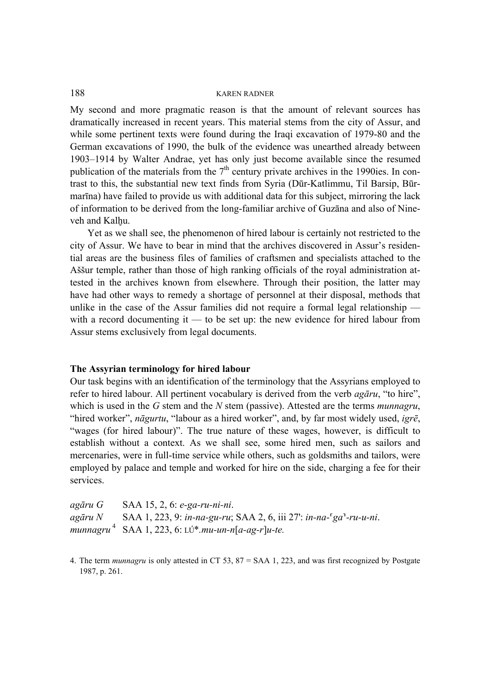My second and more pragmatic reason is that the amount of relevant sources has dramatically increased in recent years. This material stems from the city of Assur, and while some pertinent texts were found during the Iraqi excavation of 1979-80 and the German excavations of 1990, the bulk of the evidence was unearthed already between 1903–1914 by Walter Andrae, yet has only just become available since the resumed publication of the materials from the  $7<sup>th</sup>$  century private archives in the 1990ies. In contrast to this, the substantial new text finds from Syria (Dūr-Katlimmu, Til Barsip, Būrmarīna) have failed to provide us with additional data for this subject, mirroring the lack of information to be derived from the long-familiar archive of Guzāna and also of Nineveh and Kalhu.

Yet as we shall see, the phenomenon of hired labour is certainly not restricted to the city of Assur. We have to bear in mind that the archives discovered in Assur's residential areas are the business files of families of craftsmen and specialists attached to the Assur temple, rather than those of high ranking officials of the royal administration attested in the archives known from elsewhere. Through their position, the latter may have had other ways to remedy a shortage of personnel at their disposal, methods that unlike in the case of the Assur families did not require a formal legal relationship with a record documenting it — to be set up: the new evidence for hired labour from Assur stems exclusively from legal documents.

#### **The Assyrian terminology for hired labour**

Our task begins with an identification of the terminology that the Assyrians employed to refer to hired labour. All pertinent vocabulary is derived from the verb *agāru*, "to hire", which is used in the *G* stem and the *N* stem (passive). Attested are the terms *munnagru*, "hired worker", *nāgurtu*, "labour as a hired worker", and, by far most widely used, *igrē*, "wages (for hired labour)". The true nature of these wages, however, is difficult to establish without a context. As we shall see, some hired men, such as sailors and mercenaries, were in full-time service while others, such as goldsmiths and tailors, were employed by palace and temple and worked for hire on the side, charging a fee for their services.

| agāru G | SAA 15, 2, 6: e-ga-ru-ni-ni.                                                       |
|---------|------------------------------------------------------------------------------------|
|         | $a$ gāru $N$ SAA 1, 223, 9: in-na-gu-ru; SAA 2, 6, iii 27': in-na- $a^1$ -ru-u-ni. |
|         | munnagru <sup>4</sup> SAA 1, 223, 6: $L(f^* . mu-un-n[a-ag-r]u-te.$                |

<sup>4.</sup> The term *munnagru* is only attested in CT 53, 87 = SAA 1, 223, and was first recognized by Postgate 1987, p. 261.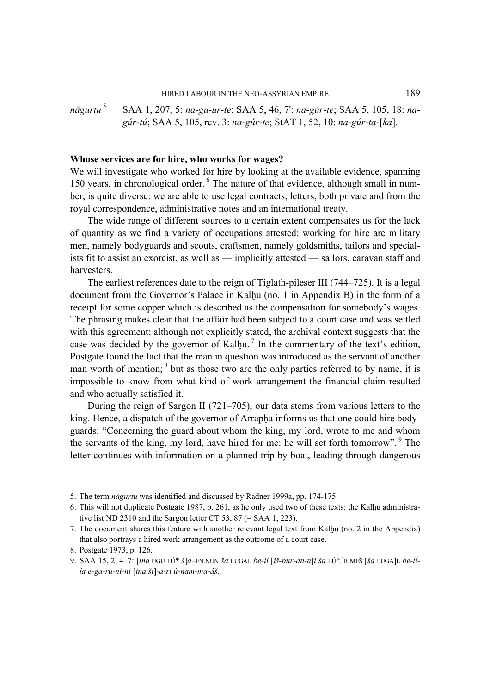#### HIRED LABOUR IN THE NEO-ASSYRIAN EMPIRE 189

## *nāgurtu* 5 SAA 1, 207, 5: *na-gu-ur-te*; SAA 5, 46, 7¥: *na-gúr-te*; SAA 5, 105, 18: *nagúr-tú*; SAA 5, 105, rev. 3: *na-gúr-te*; StAT 1, 52, 10: *na-gúr-ta-[ka]*.

#### **Whose services are for hire, who works for wages?**

We will investigate who worked for hire by looking at the available evidence, spanning 150 years, in chronological order.<sup>6</sup> The nature of that evidence, although small in number, is quite diverse: we are able to use legal contracts, letters, both private and from the royal correspondence, administrative notes and an international treaty.

The wide range of different sources to a certain extent compensates us for the lack of quantity as we find a variety of occupations attested: working for hire are military men, namely bodyguards and scouts, craftsmen, namely goldsmiths, tailors and specialists fit to assist an exorcist, as well as — implicitly attested — sailors, caravan staff and harvesters.

The earliest references date to the reign of Tiglath-pileser III (744–725). It is a legal document from the Governor's Palace in Kalhu (no. 1 in Appendix B) in the form of a receipt for some copper which is described as the compensation for somebody's wages. The phrasing makes clear that the affair had been subject to a court case and was settled with this agreement; although not explicitly stated, the archival context suggests that the case was decided by the governor of Kalhu.<sup>7</sup> In the commentary of the text's edition, Postgate found the fact that the man in question was introduced as the servant of another man worth of mention; <sup>8</sup> but as those two are the only parties referred to by name, it is impossible to know from what kind of work arrangement the financial claim resulted and who actually satisfied it.

During the reign of Sargon II (721–705), our data stems from various letters to the king. Hence, a dispatch of the governor of Arrapha informs us that one could hire bodyguards: "Concerning the guard about whom the king, my lord, wrote to me and whom the servants of the king, my lord, have hired for me: he will set forth tomorrow". <sup>9</sup> The letter continues with information on a planned trip by boat, leading through dangerous

<sup>5.</sup> The term *nāgurtu* was identified and discussed by Radner 1999a, pp. 174-175.

<sup>6.</sup> This will not duplicate Postgate 1987, p. 261, as he only used two of these texts: the Kalhu administrative list ND 2310 and the Sargon letter CT 53, 87  $(= SAA 1, 223)$ .

<sup>7.</sup> The document shares this feature with another relevant legal text from Kalhu (no. 2 in the Appendix) that also portrays a hired work arrangement as the outcome of a court case.

<sup>8.</sup> Postgate 1973, p. 126.

<sup>9.</sup> SAA 15, 2, 4–7: *[ina UGU LÚ\*.š]á–EN.NUN ša LUGAL be-lí [iš-pur-an-n]i ša LÚ\*.*ìR.MEŠ [*ša LUGA]L be-líía e-ga-ru-ni-ni [ina ^i]-a-ri ú-nam-ma-á^.*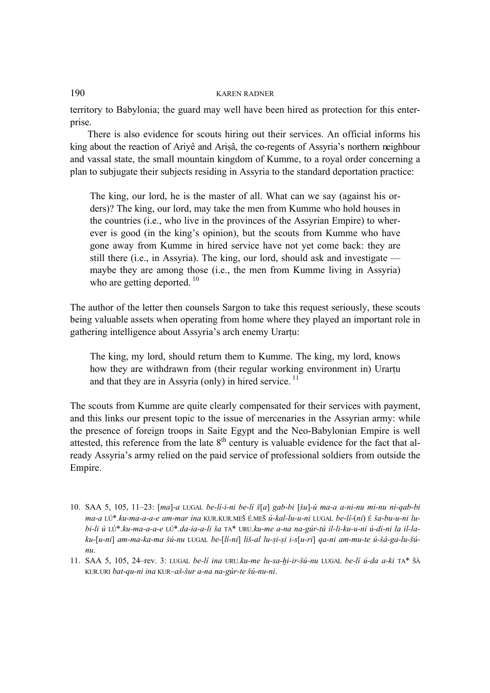territory to Babylonia; the guard may well have been hired as protection for this enterprise.

There is also evidence for scouts hiring out their services. An official informs his king about the reaction of Ariyê and Arisâ, the co-regents of Assyria's northern neighbour and vassal state, the small mountain kingdom of Kumme, to a royal order concerning a plan to subjugate their subjects residing in Assyria to the standard deportation practice:

The king, our lord, he is the master of all. What can we say (against his orders)? The king, our lord, may take the men from Kumme who hold houses in the countries (i.e., who live in the provinces of the Assyrian Empire) to wherever is good (in the king's opinion), but the scouts from Kumme who have gone away from Kumme in hired service have not yet come back: they are still there (i.e., in Assyria). The king, our lord, should ask and investigate maybe they are among those (i.e., the men from Kumme living in Assyria) who are getting deported.<sup>10</sup>

The author of the letter then counsels Sargon to take this request seriously, these scouts being valuable assets when operating from home where they played an important role in gathering intelligence about Assyria's arch enemy Urartu:

The king, my lord, should return them to Kumme. The king, my lord, knows how they are withdrawn from (their regular working environment in) Urartu and that they are in Assyria (only) in hired service.<sup>11</sup>

The scouts from Kumme are quite clearly compensated for their services with payment, and this links our present topic to the issue of mercenaries in the Assyrian army: while the presence of foreign troops in Saite Egypt and the Neo-Babylonian Empire is well attested, this reference from the late  $8<sup>th</sup>$  century is valuable evidence for the fact that already Assyria's army relied on the paid service of professional soldiers from outside the Empire.

11. SAA 5, 105, 24-rev. 3: LUGAL be-lí ina URU.ku-me lu-sa-hi-ir-šú-nu LUGAL be-lí ú-da a-ki TA\* ŠÀ *KUR.URI bat-qu-ni ina KUR–a^-^ur a-na na-gúr-te ^ú-nu-ni*.

<sup>10.</sup> SAA 5, 105, 11–23: *[ma]-a LUGAL be-lí-i-ni be-lí ^[a] gab-bi [^u]-ú ma-a a-ni-nu mi-nu ni-qab-bi ma-a LÚ\*.ku-ma-a-a-e am-mar ina KUR.KUR.ME& É.ME& ú-kal-lu-u-ni LUGAL be-lí-(ni) É ^a-bu-u-ni lubi-li ù LÚ\*.ku-ma-a-a-e LÚ\*.da-ia-a-li ^a TA\* URU.ku-me a-na na-gúr-tú il-li-ku-u-ni ú-di-ni la il-la*ku-[u-ni] am-ma-ka-ma šú-nu LUGAL be-[lí-ni] liš-al lu-si-si i-s[u-ri] qa-ni am-mu-te ú-šá-ga-lu-šú*nu*.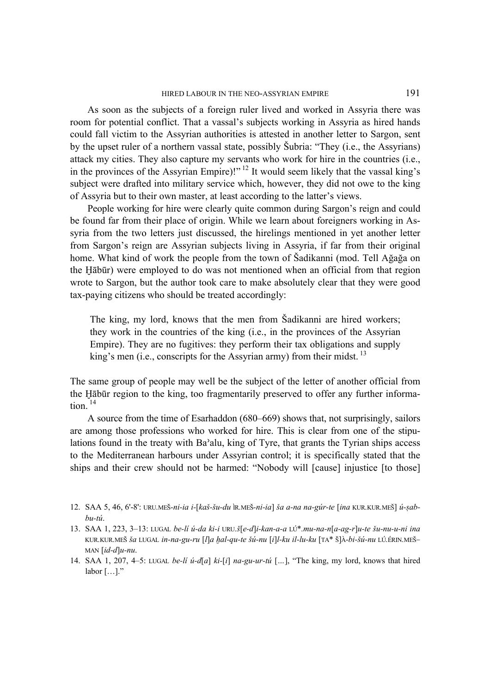As soon as the subjects of a foreign ruler lived and worked in Assyria there was room for potential conflict. That a vassal's subjects working in Assyria as hired hands could fall victim to the Assyrian authorities is attested in another letter to Sargon, sent by the upset ruler of a northern vassal state, possibly &ubria: "They (i.e., the Assyrians) attack my cities. They also capture my servants who work for hire in the countries (i.e., in the provinces of the Assyrian Empire)!" <sup>12</sup> It would seem likely that the vassal king's subject were drafted into military service which, however, they did not owe to the king of Assyria but to their own master, at least according to the latter's views.

People working for hire were clearly quite common during Sargon's reign and could be found far from their place of origin. While we learn about foreigners working in Assyria from the two letters just discussed, the hirelings mentioned in yet another letter from Sargon's reign are Assyrian subjects living in Assyria, if far from their original home. What kind of work the people from the town of &adikanni (mod. Tell Ağağa on the Habūr) were employed to do was not mentioned when an official from that region wrote to Sargon, but the author took care to make absolutely clear that they were good tax-paying citizens who should be treated accordingly:

The king, my lord, knows that the men from Sadikanni are hired workers; they work in the countries of the king (i.e., in the provinces of the Assyrian Empire). They are no fugitives: they perform their tax obligations and supply king's men (i.e., conscripts for the Assyrian army) from their midst.  $^{13}$ 

The same group of people may well be the subject of the letter of another official from the Hābūr region to the king, too fragmentarily preserved to offer any further information. $14$ 

A source from the time of Esarhaddon (680–669) shows that, not surprisingly, sailors are among those professions who worked for hire. This is clear from one of the stipulations found in the treaty with Ba'alu, king of Tyre, that grants the Tyrian ships access to the Mediterranean harbours under Assyrian control; it is specifically stated that the ships and their crew should not be harmed: "Nobody will [cause] injustice [to those]

- 13. SAA 1, 223, 3–13: *LUGAL be-lí ú-da ki-i URU.^[e-d]i-kan-a-a LÚ\*.mu-na-n[a-ag-r]u-te ^u-nu-u-ni ina KUR.KUR.MEŠ ša LUGAL in-na-gu-ru [I]a hal-qu-te šú-nu [i]l-ku il-lu-ku [TA\* Š]À-bi-šú-nu LÚ.ÉRIN.MEŠ*– *MAN [id-d]u-nu*.
- 14. SAA 1, 207, 4–5: *LUGAL be-lí ú-d[a] ki-[i] na-gu-ur-tú […]*, "The king, my lord, knows that hired labor […]."

<sup>12.</sup> SAA 5, 46, 6'-8': *URU.MEŠ-ni-ia i-[kaš-šu-du ÌR.MEŠ-ni-ia] ša a-na na-gúr-te [ina KUR.KUR.MEŠ] ú-sabbu-tú*.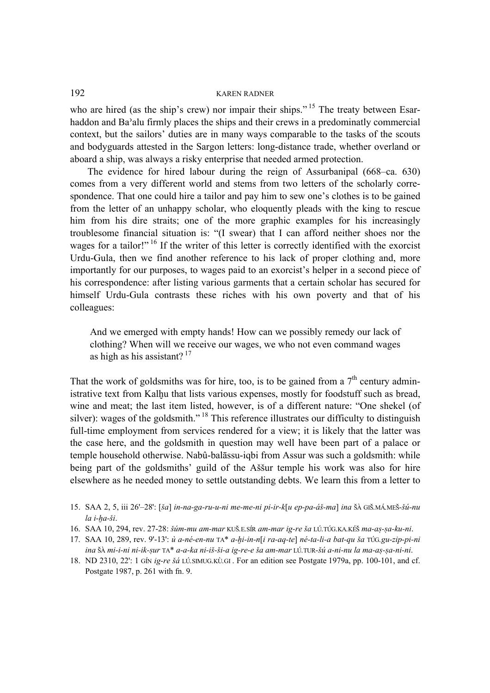who are hired (as the ship's crew) nor impair their ships."<sup>15</sup> The treaty between Esarhaddon and Ba"alu firmly places the ships and their crews in a predominatly commercial context, but the sailors' duties are in many ways comparable to the tasks of the scouts and bodyguards attested in the Sargon letters: long-distance trade, whether overland or aboard a ship, was always a risky enterprise that needed armed protection.

The evidence for hired labour during the reign of Assurbanipal (668–ca. 630) comes from a very different world and stems from two letters of the scholarly correspondence. That one could hire a tailor and pay him to sew one's clothes is to be gained from the letter of an unhappy scholar, who eloquently pleads with the king to rescue him from his dire straits; one of the more graphic examples for his increasingly troublesome financial situation is: "(I swear) that I can afford neither shoes nor the wages for a tailor!" <sup>16</sup> If the writer of this letter is correctly identified with the exorcist Urdu-Gula, then we find another reference to his lack of proper clothing and, more importantly for our purposes, to wages paid to an exorcist's helper in a second piece of his correspondence: after listing various garments that a certain scholar has secured for himself Urdu-Gula contrasts these riches with his own poverty and that of his colleagues:

And we emerged with empty hands! How can we possibly remedy our lack of clothing? When will we receive our wages, we who not even command wages as high as his assistant?  $17$ 

That the work of goldsmiths was for hire, too, is to be gained from a  $7<sup>th</sup>$  century administrative text from Kalhu that lists various expenses, mostly for foodstuff such as bread, wine and meat; the last item listed, however, is of a different nature: "One shekel (of silver): wages of the goldsmith."<sup>18</sup> This reference illustrates our difficulty to distinguish full-time employment from services rendered for a view; it is likely that the latter was the case here, and the goldsmith in question may well have been part of a palace or temple household otherwise. Nabû-balāssu-iqbi from Assur was such a goldsmith: while being part of the goldsmiths' guild of the Aššur temple his work was also for hire elsewhere as he needed money to settle outstanding debts. We learn this from a letter to

- 15. SAA 2, 5, iii 26<sup>-</sup>28': *[ša] in-na-ga-ru-u-ni me-me-ni pi-ir-k[u ep-pa-áš-ma] ina* ŠÀ GIŠ.MÁ.MEŠ-šú-nu  $la$ *i*-ha-ši.
- 16. SAA 10, 294, rev. 27-28: šúm-mu am-mar KUŠ.E.SÍR am-mar ig-re ša LÚ.TÚG.KA.KÉŠ ma-as-sa-ku-ni.
- 17. SAA 10, 289, rev. 9'-13': *ù a-né-en-nu* TA\* a-hi-in-n[i ra-aq-te] né-ta-li-a bat-qu ša TÚG.gu-zip-pi-ni *ina &À mi-i-ni ni-ik-#ur TA\* a-a-ka ni-i^-^i-a ig-re-e ^a am-mar LÚ.TUR-^ú a-ni-nu la ma-a#-#a-ni-ni*.
- 18. ND 2310, 22': 1 GÍN *ig-re šá* LÚ.SIMUG.KÙ.GI . For an edition see Postgate 1979a, pp. 100-101, and cf. Postgate 1987, p. 261 with fn. 9.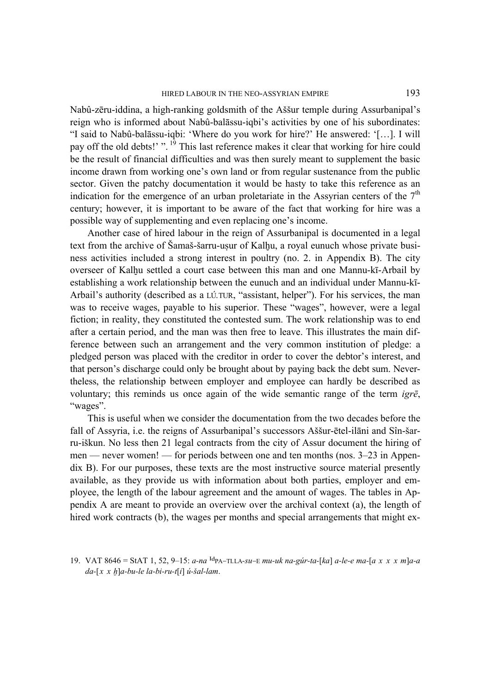Nabû-zēru-iddina, a high-ranking goldsmith of the A^^ur temple during Assurbanipal's reign who is informed about Nabû-balāssu-iqbi's activities by one of his subordinates: "I said to Nabû-balāssu-iqbi: 'Where do you work for hire?' He answered: '[…]. I will pay off the old debts!' ".<sup>19</sup> This last reference makes it clear that working for hire could be the result of financial difficulties and was then surely meant to supplement the basic income drawn from working one's own land or from regular sustenance from the public sector. Given the patchy documentation it would be hasty to take this reference as an indication for the emergence of an urban proletariate in the Assyrian centers of the  $7<sup>th</sup>$ century; however, it is important to be aware of the fact that working for hire was a possible way of supplementing and even replacing one's income.

Another case of hired labour in the reign of Assurbanipal is documented in a legal text from the archive of Šamaš-šarru-usur of Kalhu, a royal eunuch whose private business activities included a strong interest in poultry (no. 2. in Appendix B). The city overseer of Kalhu settled a court case between this man and one Mannu-kī-Arbail by establishing a work relationship between the eunuch and an individual under Mannu-kī-Arbail's authority (described as a *LÚ.TUR*, "assistant, helper"). For his services, the man was to receive wages, payable to his superior. These "wages", however, were a legal fiction; in reality, they constituted the contested sum. The work relationship was to end after a certain period, and the man was then free to leave. This illustrates the main difference between such an arrangement and the very common institution of pledge: a pledged person was placed with the creditor in order to cover the debtor's interest, and that person's discharge could only be brought about by paying back the debt sum. Nevertheless, the relationship between employer and employee can hardly be described as voluntary; this reminds us once again of the wide semantic range of the term *igrē*, "wages".

This is useful when we consider the documentation from the two decades before the fall of Assyria, i.e. the reigns of Assurbanipal's successors Aššur-ētel-ilāni and Sîn-šarru-iškun. No less then 21 legal contracts from the city of Assur document the hiring of men — never women! — for periods between one and ten months (nos. 3–23 in Appendix B). For our purposes, these texts are the most instructive source material presently available, as they provide us with information about both parties, employer and employee, the length of the labour agreement and the amount of wages. The tables in Appendix A are meant to provide an overview over the archival context (a), the length of hired work contracts (b), the wages per months and special arrangements that might ex-

<sup>19.</sup> VAT 8646 = StAT 1, 52, 9–15: *a-na* <sup>Id</sup>PA–TI.LA-su–E mu-uk na-gúr-ta-[ka] a-le-e ma-[a x x x m]a-a  $da-[x \ x \ h]a-bu-le$  la-bi-ru-t[i] *ú-šal-lam*.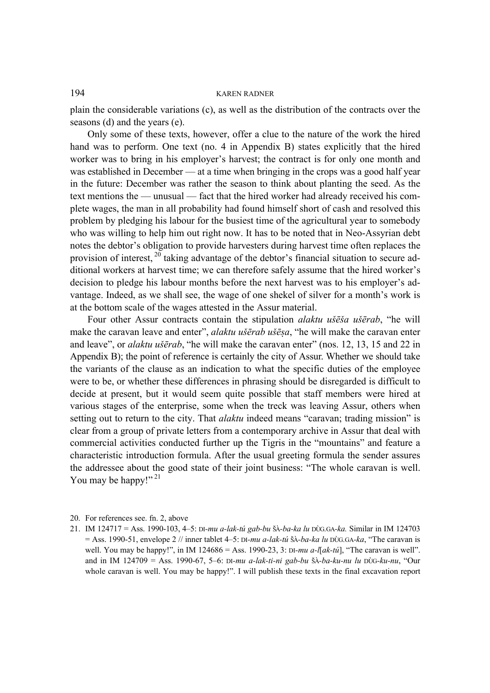plain the considerable variations (c), as well as the distribution of the contracts over the seasons (d) and the years (e).

Only some of these texts, however, offer a clue to the nature of the work the hired hand was to perform. One text (no. 4 in Appendix B) states explicitly that the hired worker was to bring in his employer's harvest; the contract is for only one month and was established in December — at a time when bringing in the crops was a good half year in the future: December was rather the season to think about planting the seed. As the text mentions the — unusual — fact that the hired worker had already received his complete wages, the man in all probability had found himself short of cash and resolved this problem by pledging his labour for the busiest time of the agricultural year to somebody who was willing to help him out right now. It has to be noted that in Neo-Assyrian debt notes the debtor's obligation to provide harvesters during harvest time often replaces the provision of interest,  $^{20}$  taking advantage of the debtor's financial situation to secure additional workers at harvest time; we can therefore safely assume that the hired worker's decision to pledge his labour months before the next harvest was to his employer's advantage. Indeed, as we shall see, the wage of one shekel of silver for a month's work is at the bottom scale of the wages attested in the Assur material.

Four other Assur contracts contain the stipulation *alaktu u^ē^a u^ērab*, "he will make the caravan leave and enter", *alaktu ušērab ušēṣa*, "he will make the caravan enter and leave", or *alaktu ušērab*, "he will make the caravan enter" (nos. 12, 13, 15 and 22 in Appendix B); the point of reference is certainly the city of Assur. Whether we should take the variants of the clause as an indication to what the specific duties of the employee were to be, or whether these differences in phrasing should be disregarded is difficult to decide at present, but it would seem quite possible that staff members were hired at various stages of the enterprise, some when the treck was leaving Assur, others when setting out to return to the city. That *alaktu* indeed means "caravan; trading mission" is clear from a group of private letters from a contemporary archive in Assur that deal with commercial activities conducted further up the Tigris in the "mountains" and feature a characteristic introduction formula. After the usual greeting formula the sender assures the addressee about the good state of their joint business: "The whole caravan is well. You may be happy!"<sup>21</sup>

21. IM 124717 = Ass. 1990-103, 4–5: *DI-mu a-lak-tú gab-bu &À-ba-ka lu DÙG.GA-ka.* Similar in IM 124703 = Ass. 1990-51, envelope 2 // inner tablet 4–5: *DI-mu a-lak-tú &À-ba-ka lu DÙG.GA-ka*, "The caravan is well. You may be happy!", in IM 124686 = Ass. 1990-23, 3: *DI-mu a-l[ak-tú*], "The caravan is well". and in IM 124709 = Ass. 1990-67, 5–6: *DI-mu a-lak-ti-ni gab-bu &À-ba-ku-nu lu DÙG-ku-nu*, "Our whole caravan is well. You may be happy!". I will publish these texts in the final excavation report

<sup>20.</sup> For references see. fn. 2, above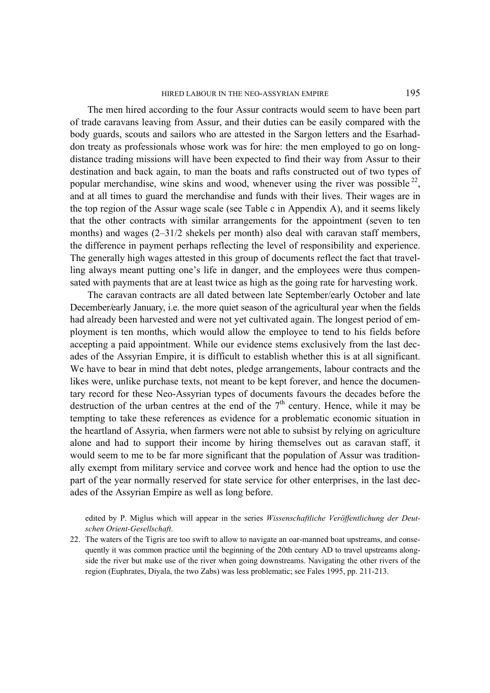#### HIRED LABOUR IN THE NEO-ASSYRIAN EMPIRE 195

The men hired according to the four Assur contracts would seem to have been part of trade caravans leaving from Assur, and their duties can be easily compared with the body guards, scouts and sailors who are attested in the Sargon letters and the Esarhaddon treaty as professionals whose work was for hire: the men employed to go on longdistance trading missions will have been expected to find their way from Assur to their destination and back again, to man the boats and rafts constructed out of two types of popular merchandise, wine skins and wood, whenever using the river was possible  $^{22}$ , and at all times to guard the merchandise and funds with their lives. Their wages are in the top region of the Assur wage scale (see Table c in Appendix A), and it seems likely that the other contracts with similar arrangements for the appointment (seven to ten months) and wages (2–31/2 shekels per month) also deal with caravan staff members, the difference in payment perhaps reflecting the level of responsibility and experience. The generally high wages attested in this group of documents reflect the fact that travelling always meant putting one's life in danger, and the employees were thus compensated with payments that are at least twice as high as the going rate for harvesting work.

The caravan contracts are all dated between late September/early October and late December/early January, i.e. the more quiet season of the agricultural year when the fields had already been harvested and were not yet cultivated again. The longest period of employment is ten months, which would allow the employee to tend to his fields before accepting a paid appointment. While our evidence stems exclusively from the last decades of the Assyrian Empire, it is difficult to establish whether this is at all significant. We have to bear in mind that debt notes, pledge arrangements, labour contracts and the likes were, unlike purchase texts, not meant to be kept forever, and hence the documentary record for these Neo-Assyrian types of documents favours the decades before the destruction of the urban centres at the end of the  $7<sup>th</sup>$  century. Hence, while it may be tempting to take these references as evidence for a problematic economic situation in the heartland of Assyria, when farmers were not able to subsist by relying on agriculture alone and had to support their income by hiring themselves out as caravan staff, it would seem to me to be far more significant that the population of Assur was traditionally exempt from military service and corvee work and hence had the option to use the part of the year normally reserved for state service for other enterprises, in the last decades of the Assyrian Empire as well as long before.

edited by P. Miglus which will appear in the series *Wissenschaftliche Veröffentlichung der Deutschen Orient-Gesellschaft*.

22. The waters of the Tigris are too swift to allow to navigate an oar-manned boat upstreams, and consequently it was common practice until the beginning of the 20th century AD to travel upstreams alongside the river but make use of the river when going downstreams. Navigating the other rivers of the region (Euphrates, Diyala, the two Zabs) was less problematic; see Fales 1995, pp. 211-213.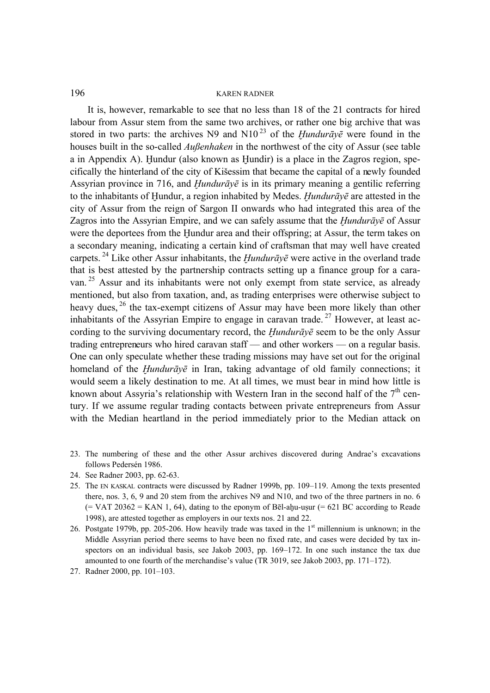It is, however, remarkable to see that no less than 18 of the 21 contracts for hired labour from Assur stem from the same two archives, or rather one big archive that was stored in two parts: the archives N9 and N10<sup>23</sup> of the *Hundurav* $\bar{e}$  were found in the houses built in the so-called *Außenhaken* in the northwest of the city of Assur (see table a in Appendix A). Hundur (also known as Hundir) is a place in the Zagros region, specifically the hinterland of the city of Kišessim that became the capital of a newly founded Assyrian province in 716, and *Hundurāy* $\bar{e}$  is in its primary meaning a gentilic referring to the inhabitants of Hundur, a region inhabited by Medes. *Hundurāvē* are attested in the city of Assur from the reign of Sargon II onwards who had integrated this area of the Zagros into the Assyrian Empire, and we can safely assume that the *Hundurāv* $\bar{e}$  of Assur were the deportees from the Hundur area and their offspring; at Assur, the term takes on a secondary meaning, indicating a certain kind of craftsman that may well have created carpets.<sup>24</sup> Like other Assur inhabitants, the *Hundurāv* $\bar{e}$  were active in the overland trade that is best attested by the partnership contracts setting up a finance group for a caravan.<sup>25</sup> Assur and its inhabitants were not only exempt from state service, as already mentioned, but also from taxation, and, as trading enterprises were otherwise subject to heavy dues, <sup>26</sup> the tax-exempt citizens of Assur may have been more likely than other inhabitants of the Assyrian Empire to engage in caravan trade.<sup>27</sup> However, at least according to the surviving documentary record, the *Hundurāy*<sup> $\bar{c}$ </sup> seem to be the only Assur trading entrepreneurs who hired caravan staff — and other workers — on a regular basis. One can only speculate whether these trading missions may have set out for the original homeland of the *Hundurāy* $\bar{e}$  in Iran, taking advantage of old family connections; it would seem a likely destination to me. At all times, we must bear in mind how little is known about Assyria's relationship with Western Iran in the second half of the  $7<sup>th</sup>$  century. If we assume regular trading contacts between private entrepreneurs from Assur with the Median heartland in the period immediately prior to the Median attack on

- 23. The numbering of these and the other Assur archives discovered during Andrae's excavations follows Pedersén 1986.
- 24. See Radner 2003, pp. 62-63.
- 25. The *EN KASKAL* contracts were discussed by Radner 1999b, pp. 109–119. Among the texts presented there, nos. 3, 6, 9 and 20 stem from the archives N9 and N10, and two of the three partners in no. 6  $(=$  VAT 20362 = KAN 1, 64), dating to the eponym of Bel-ahu-usur (= 621 BC according to Reade 1998), are attested together as employers in our texts nos. 21 and 22.
- 26. Postgate 1979b, pp. 205-206. How heavily trade was taxed in the  $1<sup>st</sup>$  millennium is unknown; in the Middle Assyrian period there seems to have been no fixed rate, and cases were decided by tax inspectors on an individual basis, see Jakob 2003, pp. 169–172. In one such instance the tax due amounted to one fourth of the merchandise's value (TR 3019, see Jakob 2003, pp. 171–172).
- 27. Radner 2000, pp. 101–103.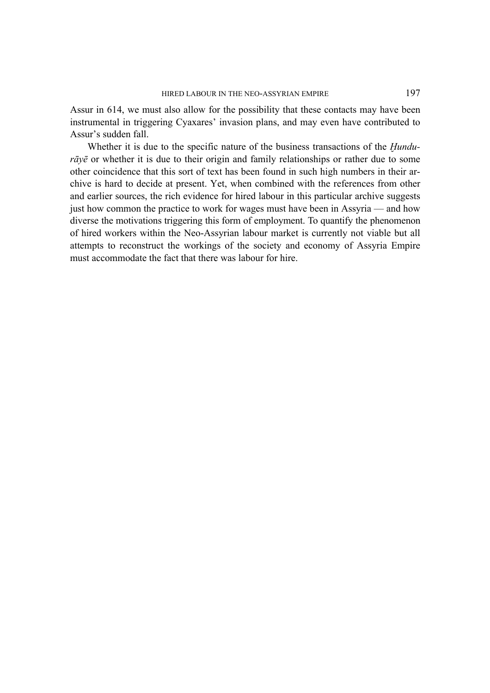Assur in 614, we must also allow for the possibility that these contacts may have been instrumental in triggering Cyaxares' invasion plans, and may even have contributed to Assur's sudden fall.

Whether it is due to the specific nature of the business transactions of the *Hundurāyē* or whether it is due to their origin and family relationships or rather due to some other coincidence that this sort of text has been found in such high numbers in their archive is hard to decide at present. Yet, when combined with the references from other and earlier sources, the rich evidence for hired labour in this particular archive suggests just how common the practice to work for wages must have been in Assyria — and how diverse the motivations triggering this form of employment. To quantify the phenomenon of hired workers within the Neo-Assyrian labour market is currently not viable but all attempts to reconstruct the workings of the society and economy of Assyria Empire must accommodate the fact that there was labour for hire.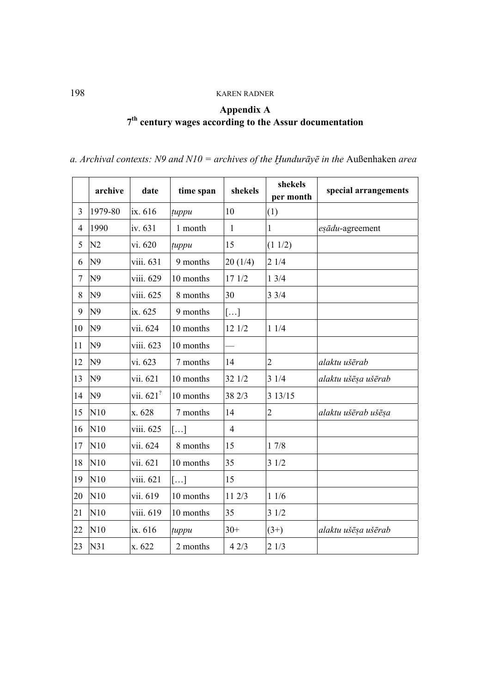## **Appendix A 7th century wages according to the Assur documentation**

| a. Archival contexts: N9 and $N10$ = archives of the Hundurāye in the Außenhaken area |  |
|---------------------------------------------------------------------------------------|--|
|---------------------------------------------------------------------------------------|--|

|                | archive        | date                    | time span    | shekels               | shekels<br>per month | special arrangements |
|----------------|----------------|-------------------------|--------------|-----------------------|----------------------|----------------------|
| $\overline{3}$ | 1979-80        | ix. 616                 | tuppu        | 10                    | (1)                  |                      |
| $\overline{4}$ | 1990           | iv. 631                 | 1 month      | $\mathbf{1}$          | 1                    | eşādu-agreement      |
| 5              | N <sub>2</sub> | vi. 620                 | tuppu        | 15                    | (11/2)               |                      |
| 6              | N <sub>9</sub> | viii. 631               | 9 months     | 20(1/4)               | 21/4                 |                      |
| 7              | N <sub>9</sub> | viii. 629               | 10 months    | 17 1/2                | 13/4                 |                      |
| 8              | N <sub>9</sub> | viii. 625               | 8 months     | 30                    | 33/4                 |                      |
| 9              | N <sub>9</sub> | ix. 625                 | 9 months     | $\left[\ldots\right]$ |                      |                      |
| 10             | N <sub>9</sub> | vii. 624                | 10 months    | 12 1/2                | 11/4                 |                      |
| 11             | N <sub>9</sub> | viii. 623               | 10 months    |                       |                      |                      |
| 12             | N <sub>9</sub> | vi. 623                 | 7 months     | 14                    | $\overline{2}$       | alaktu ušērab        |
| 13             | N <sub>9</sub> | vii. 621                | 10 months    | 32 1/2                | 31/4                 | alaktu ušēsa ušērab  |
| 14             | N <sub>9</sub> | vii. $621$ <sup>?</sup> | 10 months    | 38 2/3                | 3 13/15              |                      |
| 15             | N10            | x. 628                  | 7 months     | 14                    | $\overline{2}$       | alaktu ušērab ušēsa  |
| 16             | N10            | viii. 625               | []           | $\overline{4}$        |                      |                      |
| $17\,$         | N10            | vii. 624                | 8 months     | 15                    | 17/8                 |                      |
| 18             | N10            | vii. 621                | 10 months    | 35                    | 31/2                 |                      |
| 19             | N10            | viii. 621               | []           | 15                    |                      |                      |
| 20             | N10            | vii. 619                | 10 months    | 11 2/3                | 11/6                 |                      |
| 21             | N10            | viii. 619               | 10 months    | 35                    | 31/2                 |                      |
| 22             | N10            | ix. 616                 | <i>tuppu</i> | $30+$                 | $(3+)$               | alaktu ušēşa ušērab  |
| 23             | N31            | x. 622                  | 2 months     | 42/3                  | 21/3                 |                      |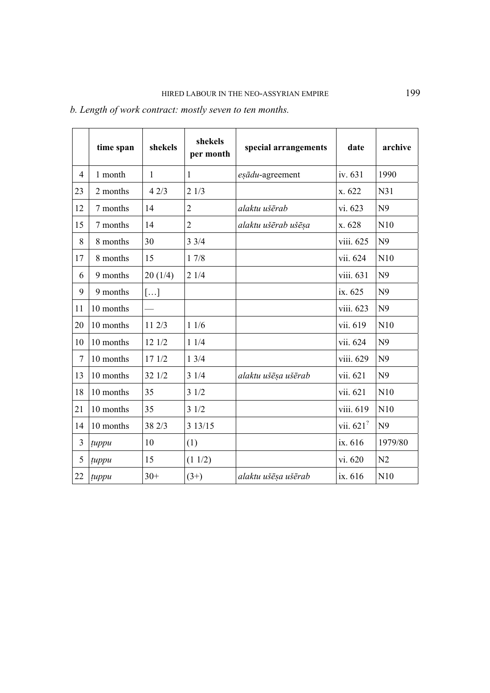| b. Length of work contract: mostly seven to ten months. |  |
|---------------------------------------------------------|--|
|---------------------------------------------------------|--|

|    | time span | shekels | shekels<br>per month | special arrangements | date                  | archive        |
|----|-----------|---------|----------------------|----------------------|-----------------------|----------------|
| 4  | 1 month   | 1       | 1                    | eşādu-agreement      | iv. 631               | 1990           |
| 23 | 2 months  | 42/3    | 21/3                 |                      | x. 622                | N31            |
| 12 | 7 months  | 14      | $\overline{2}$       | alaktu ušērab        | vi. 623               | N <sub>9</sub> |
| 15 | 7 months  | 14      | $\overline{2}$       | alaktu ušērab ušēşa  | x. 628                | N10            |
| 8  | 8 months  | 30      | 33/4                 |                      | viii. 625             | N <sub>9</sub> |
| 17 | 8 months  | 15      | 17/8                 |                      | vii. 624              | N10            |
| 6  | 9 months  | 20(1/4) | 21/4                 |                      | viii. 631             | N <sub>9</sub> |
| 9  | 9 months  | []      |                      |                      | ix. 625               | N <sub>9</sub> |
| 11 | 10 months |         |                      |                      | viii. 623             | N <sub>9</sub> |
| 20 | 10 months | 11 2/3  | 11/6                 |                      | vii. 619              | N10            |
| 10 | 10 months | 12 1/2  | 11/4                 |                      | vii. 624              | N <sub>9</sub> |
| 7  | 10 months | 17 1/2  | 13/4                 |                      | viii. 629             | N <sub>9</sub> |
| 13 | 10 months | 32 1/2  | 31/4                 | alaktu ušēsa ušērab  | vii. 621              | N <sub>9</sub> |
| 18 | 10 months | 35      | 31/2                 |                      | vii. 621              | N10            |
| 21 | 10 months | 35      | 31/2                 |                      | viii. 619             | N10            |
| 14 | 10 months | 38 2/3  | 3 13/15              |                      | vii. 621 <sup>?</sup> | N <sub>9</sub> |
| 3  | tuppu     | 10      | (1)                  |                      | ix. 616               | 1979/80        |
| 5  | tuppu     | 15      | (11/2)               |                      | vi. 620               | N <sub>2</sub> |
| 22 | tuppu     | $30+$   | $(3+)$               | alaktu ušēsa ušērab  | ix. 616               | N10            |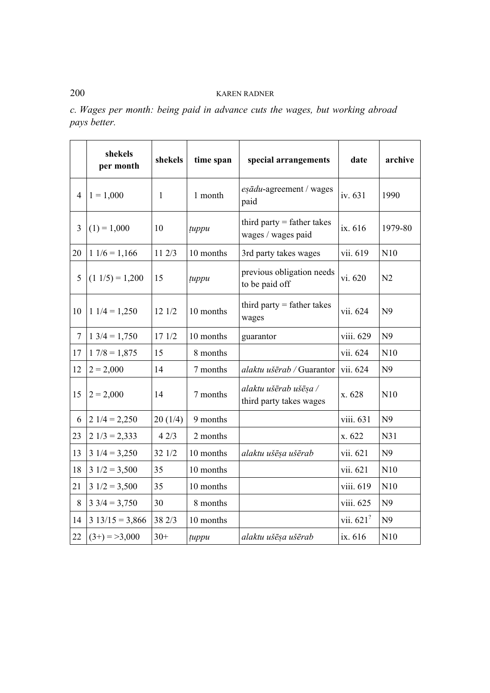| c. Wages per month: being paid in advance cuts the wages, but working abroad |  |  |  |  |  |  |
|------------------------------------------------------------------------------|--|--|--|--|--|--|
| <i>pays better.</i>                                                          |  |  |  |  |  |  |

|                  | shekels<br>per month | shekels      | time span | special arrangements                               | date         | archive        |
|------------------|----------------------|--------------|-----------|----------------------------------------------------|--------------|----------------|
| 4                | $1 = 1,000$          | $\mathbf{1}$ | 1 month   | eşādu-agreement / wages<br>paid                    | iv. 631      | 1990           |
| 3                | $(1) = 1,000$        | 10           | tuppu     | third party $=$ father takes<br>wages / wages paid | ix. 616      | 1979-80        |
| 20               | $11/6 = 1,166$       | 11 2/3       | 10 months | 3rd party takes wages                              | vii. 619     | N10            |
| 5                | $(1\ 1/5) = 1,200$   | 15           | tuppu     | previous obligation needs<br>to be paid off        | vi. 620      | N <sub>2</sub> |
| 10               | $11/4 = 1,250$       | 12 1/2       | 10 months | third party $=$ father takes<br>wages              | vii. 624     | N <sub>9</sub> |
| $\boldsymbol{7}$ | $13/4 = 1,750$       | 17 1/2       | 10 months | guarantor                                          | viii. 629    | N <sub>9</sub> |
| 17               | $17/8 = 1,875$       | 15           | 8 months  |                                                    | vii. 624     | N10            |
| 12               | $2 = 2,000$          | 14           | 7 months  | alaktu ušērab / Guarantor                          | vii. 624     | N <sub>9</sub> |
| 15               | $2 = 2,000$          | 14           | 7 months  | alaktu ušērab ušēşa /<br>third party takes wages   | x. 628       | N10            |
| 6                | $21/4 = 2,250$       | 20(1/4)      | 9 months  |                                                    | viii. 631    | N <sub>9</sub> |
| 23               | $21/3 = 2,333$       | 42/3         | 2 months  |                                                    | x. 622       | N31            |
| 13               | $31/4 = 3,250$       | 32 1/2       | 10 months | alaktu ušēsa ušērab                                | vii. 621     | N <sub>9</sub> |
| 18               | $31/2 = 3,500$       | 35           | 10 months |                                                    | vii. 621     | N10            |
| 21               | $31/2 = 3,500$       | 35           | 10 months |                                                    | viii. 619    | N10            |
| 8                | $3\,3/4 = 3,750$     | 30           | 8 months  |                                                    | viii. 625    | N <sub>9</sub> |
| 14               | $3\ 13/15 = 3,866$   | 38 2/3       | 10 months |                                                    | vii. $621$ ? | N <sub>9</sub> |
| 22               | $(3+) = 3,000$       | $30+$        | tuppu     | alaktu ušēsa ušērab                                | ix. 616      | N10            |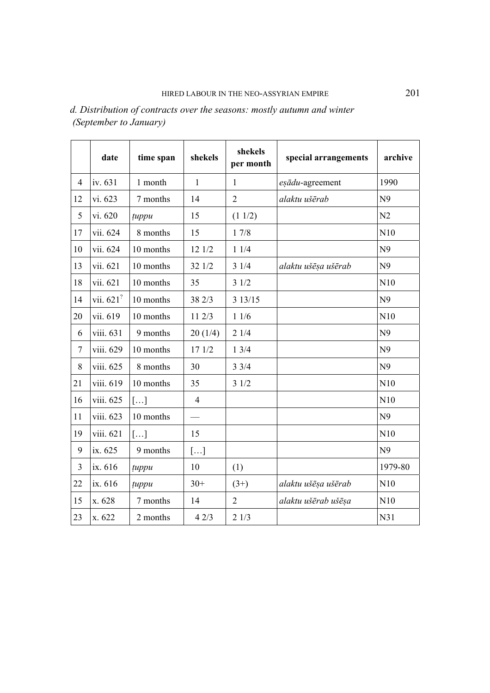|                | date                    | time span | shekels        | shekels<br>per month | special arrangements | archive        |
|----------------|-------------------------|-----------|----------------|----------------------|----------------------|----------------|
| $\overline{4}$ | iv. 631                 | 1 month   | $\mathbf{1}$   | $\mathbf{1}$         | eşādu-agreement      | 1990           |
| 12             | vi. 623                 | 7 months  | 14             | $\overline{2}$       | alaktu ušērab        | N <sub>9</sub> |
| 5              | vi. 620                 | tuppu     | 15             | (11/2)               |                      | N <sub>2</sub> |
| 17             | vii. 624                | 8 months  | 15             | $17/8$               |                      | N10            |
| 10             | vii. 624                | 10 months | 12 1/2         | 11/4                 |                      | N <sub>9</sub> |
| 13             | vii. 621                | 10 months | 32 1/2         | 31/4                 | alaktu ušēsa ušērab  | N <sub>9</sub> |
| 18             | vii. 621                | 10 months | 35             | 31/2                 |                      | N10            |
| 14             | vii. $621$ <sup>?</sup> | 10 months | 38 2/3         | 3 13/15              |                      | N <sub>9</sub> |
| 20             | vii. 619                | 10 months | 11 2/3         | 11/6                 |                      | N10            |
| 6              | viii. 631               | 9 months  | 20(1/4)        | 21/4                 |                      | N <sub>9</sub> |
| $\tau$         | viii. 629               | 10 months | 17 1/2         | 13/4                 |                      | N <sub>9</sub> |
| 8              | viii. 625               | 8 months  | 30             | 33/4                 |                      | N <sub>9</sub> |
| 21             | viii. 619               | 10 months | 35             | 31/2                 |                      | N10            |
| 16             | viii. 625               | []        | $\overline{4}$ |                      |                      | N10            |
| 11             | viii. 623               | 10 months |                |                      |                      | N <sub>9</sub> |
| 19             | viii. 621               | []        | 15             |                      |                      | N10            |
| 9              | ix. 625                 | 9 months  | []             |                      |                      | N <sub>9</sub> |
| 3              | ix. 616                 | tuppu     | 10             | (1)                  |                      | 1979-80        |
| 22             | ix. 616                 | tuppu     | $30+$          | $(3+)$               | alaktu ušēsa ušērab  | N10            |
| 15             | x. 628                  | 7 months  | 14             | $\overline{2}$       | alaktu ušērab ušēsa  | N10            |
| 23             | x. 622                  | 2 months  | 42/3           | 21/3                 |                      | N31            |

*d. Distribution of contracts over the seasons: mostly autumn and winter (September to January)*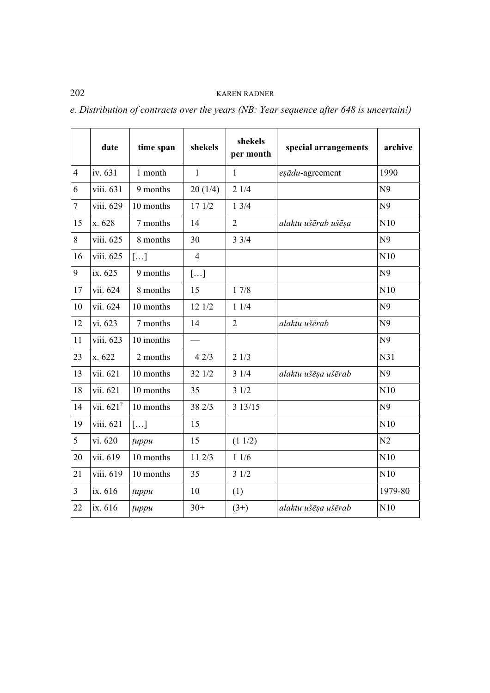|                | date                  | time span | shekels               | shekels<br>per month | special arrangements | archive        |
|----------------|-----------------------|-----------|-----------------------|----------------------|----------------------|----------------|
| $\overline{4}$ | iv. 631               | 1 month   | $\mathbf{1}$          | $\mathbf{1}$         | eşādu-agreement      | 1990           |
| 6              | viii. 631             | 9 months  | 20(1/4)               | 21/4                 |                      | N <sub>9</sub> |
| $\overline{7}$ | viii. 629             | 10 months | 17 1/2                | 13/4                 |                      | N <sub>9</sub> |
| 15             | x. 628                | 7 months  | 14                    | $\overline{2}$       | alaktu ušērab ušēşa  | N10            |
| 8              | viii. 625             | 8 months  | 30                    | 33/4                 |                      | N <sub>9</sub> |
| 16             | viii. 625             | []        | $\overline{4}$        |                      |                      | N10            |
| 9              | ix. 625               | 9 months  | $\left[\ldots\right]$ |                      |                      | N <sub>9</sub> |
| 17             | vii. 624              | 8 months  | 15                    | 17/8                 |                      | N10            |
| 10             | vii. 624              | 10 months | 12 1/2                | 11/4                 |                      | N <sub>9</sub> |
| 12             | vi. 623               | 7 months  | 14                    | $\overline{2}$       | alaktu ušērab        | N <sub>9</sub> |
| 11             | viii. 623             | 10 months |                       |                      |                      | N <sub>9</sub> |
| 23             | x. 622                | 2 months  | 42/3                  | 21/3                 |                      | N31            |
| 13             | vii. 621              | 10 months | 32 1/2                | 31/4                 | alaktu ušēsa ušērab  | N <sub>9</sub> |
| 18             | vii. 621              | 10 months | 35                    | 31/2                 |                      | N10            |
| 14             | vii. 621 <sup>?</sup> | 10 months | 38 2/3                | 3 13/15              |                      | N <sub>9</sub> |
| 19             | viii. 621             | []        | 15                    |                      |                      | N10            |
| 5              | vi. 620               | tuppu     | 15                    | (11/2)               |                      | N <sub>2</sub> |
| 20             | vii. 619              | 10 months | 11 2/3                | 11/6                 |                      | N10            |
| 21             | viii. 619             | 10 months | 35                    | 31/2                 |                      | N10            |
| $\overline{3}$ | ix. 616               | tuppu     | 10                    | (1)                  |                      | 1979-80        |
| 22             | ix. 616               | tuppu     | $30+$                 | $(3+)$               | alaktu ušēsa ušērab  | N10            |

*e. Distribution of contracts over the years (NB: Year sequence after 648 is uncertain!)*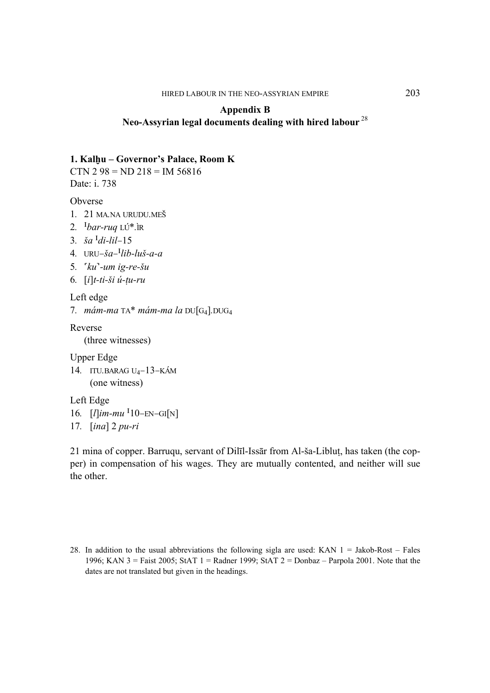## **Appendix B Neo-Assyrian legal documents dealing with hired labour**<sup>28</sup>

### 1. Kalhu – Governor's Palace, Room K

CTN 2 98 =  $ND$  218 = IM 56816 Date: i. 738

Obverse

- *1. 21 MA.NA URUDU.ME&*
- *2. %bar-ruq LÚ\*.ÌR*
- *3. ^a %di-lil–15*
- *4. URU–^a–%lib-lu^-a-a*
- *5. {ku}-um ig-re-^u*
- *6. [i]t-ti-^i ú-\u-ru*

Left edge

*7. mám-ma TA\* mám-ma la DU[G4].DUG4*

Reverse

(three witnesses)

Upper Edge

*14. ITU.BARAG U4–13–KÁM*  (one witness)

Left Edge

*16. [l]im-mu %10–EN–GI[N]* 

```
17. [ina] 2 pu-ri
```
21 mina of copper. Barruqu, servant of Dilīl-Issār from Al-^a-Liblu\, has taken (the copper) in compensation of his wages. They are mutually contented, and neither will sue the other.

<sup>28.</sup> In addition to the usual abbreviations the following sigla are used: KAN  $1 =$  Jakob-Rost – Fales 1996; KAN 3 = Faist 2005; StAT 1 = Radner 1999; StAT 2 = Donbaz – Parpola 2001. Note that the dates are not translated but given in the headings.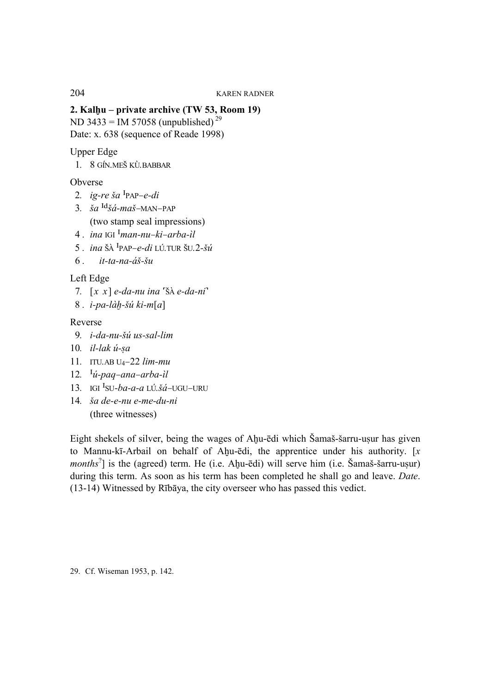## **2. Kalhu – private archive (TW 53, Room 19)**

ND 3433 = IM 57058 (unpublished)<sup>29</sup>

Date: x. 638 (sequence of Reade 1998)

## Upper Edge

 *1. 8 GÍN.ME& KÙ.BABBAR* 

## Obverse

- 2. *ig-re*  $\check{g}a$  <sup>I</sup>PAP–e-di
- 3.  $\check{a}a^{Id}\check{a}$ *-ma* $\check{a}$ –MAN–PAP (two stamp seal impressions)
- *4 . ina IGI %man-nu–ki–arba-ìl*
- 5  $\mu$  *ina* ŠA <sup>I</sup>PAP–*e-di* LÚ.TUR ŠU.2-*Šú*
- $6$ , *it-ta-na-áš-šu*

## Left Edge

- *7.*  $[x \ x] \ e$ -da-nu ina 'š $A \ e$ -da-ni'
- *8 . i-pa-là~-^ú ki-m[a]*

## Reverse

- *9. i-da-nu-^ú us-sal-lim*
- 10. *il-lak ú-sa*
- *11. ITU.AB U4–22 lim-mu*
- *12. %ú-paq–ana–arba-ìl*
- *13. IGI %SU-ba-a-a LÚ.^á–UGU–URU*
- *14. ^a de-e-nu e-me-du-ni*  (three witnesses)

Eight shekels of silver, being the wages of Ahu-ēdi which Šamaš-šarru-usur has given to Mannu-kī-Arbail on behalf of Ahu-ēdi, the apprentice under his authority.  $[x]$ *months*<sup>2</sup>] is the (agreed) term. He (i.e. Ahu-ēdi) will serve him (i.e. Šamaš-šarru-usur) during this term. As soon as his term has been completed he shall go and leave. *Date*. (13-14) Witnessed by Rībāya, the city overseer who has passed this vedict.

29. Cf. Wiseman 1953, p. 142.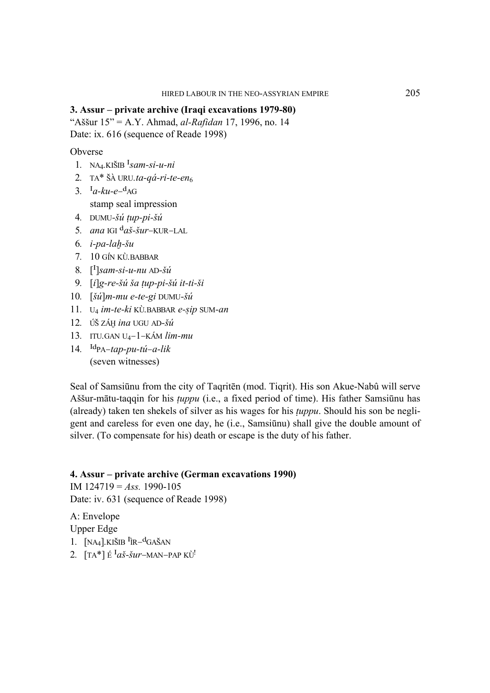#### 3. Assur – private archive (Iraqi excavations 1979-80)

"Aššur  $15" = A.Y.$  Ahmad, *al-Rafidan* 17, 1996, no. 14 Date: ix. 616 (sequence of Reade 1998)

#### Obverse

- 1. NA<sub>4</sub>.KIŠIB  $^{\text{I}}$ *sam-si-u-ni*
- 2. TA\* ŠÀ URU.ta-aá-ri-te-en
- 3.  $I_a$ - $ku$ - $e$ - $d$ AG stamp seal impression
- 4. DUMU-šú tup-pi-šú
- 5. ana IGI  $d_{a}$ š-šur-KUR-LAL
- 6.  $i$ -pa-lah-šu
- 7. 10 GÍN KÙ. BABBAR
- 8.  $\left[\begin{matrix}1\end{matrix}\right]$ sam-si-u-nu AD-šú
- 9.  $[i]$ g-re-šú ša tup-pi-šú it-ti-ši
- 10.  $\left[\check{su}\right]$ m-mu e-te-gi DUMU-šú
- 11. U<sub>4</sub> im-te-ki KÙ.BABBAR e-sip SUM-an
- 12. ÚŠ ZÁH ina UGU AD-Šú
- 13. ITU.GAN U<sub>4</sub> $-1$ -KÁM lim-mu
- 14.  $\text{Id}_{\text{PA} tap-pu-tu-a-lik}$ (seven witnesses)

Seal of Samsiūnu from the city of Tagriten (mod. Tigrit). His son Akue-Nabû will serve Aššur-mātu-taggin for his *tuppu* (i.e., a fixed period of time). His father Samsiūnu has (already) taken ten shekels of silver as his wages for his *tuppu*. Should his son be negligent and careless for even one day, he (*i.e.*, Samsiūnu) shall give the double amount of silver. (To compensate for his) death or escape is the duty of his father.

## 4. Assur – private archive (German excavations 1990)

IM  $124719 = Ass. 1990-105$ Date: iv. 631 (sequence of Reade 1998)

A: Envelope **Upper Edge** 

- 1.  $[NA_4]$ . KIŠIB  ${}^{I}$ IR $-{}^{d}$ GAŠAN
- 2.  $[TA^*]$  É <sup>I</sup>aš-šur-MAN-PAP KÙ<sup>!</sup>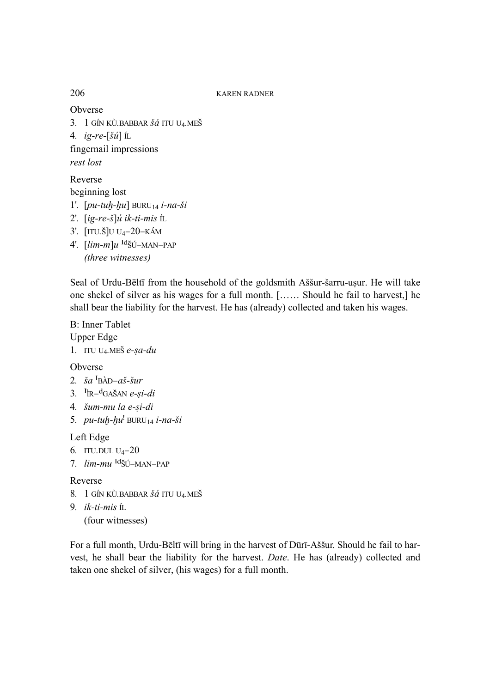Obverse

3. 1 GÍN KÙ. BABBAR Šá ITU U4. MEŠ 4. ig-re- $[\check{su}]$   $\hat{\mathbb{L}}$ 

fingernail impressions rest lost

Reverse beginning lost

- 1'.  $[pu-tuh-hu] BURU_{14} i-na-ši$
- 2'.  $[ig-re-*š*]$ *ú* ik-ti-mis ít.
- 3'.  $[TU.\check{S}]U U_4 20 KAM$
- 4'.  $\left[$ *lim-m* $\right]$ u <sup>Id</sup>ŠÚ-MAN-PAP (three witnesses)

Seal of Urdu-Bēltī from the household of the goldsmith Aššur-šarru-uṣur. He will take one shekel of silver as his wages for a full month. [...... Should he fail to harvest,] he shall bear the liability for the harvest. He has (already) collected and taken his wages.

**B:** Inner Tablet **Upper Edge** 1. ITU U<sub>4</sub>.MEŠ e-sa-du

Obverse

- 2.  $\check{s}a$ <sup>I</sup>BÀD-aš-šur
- 3.  $I_{IR}$ -d<sub>GAŠAN</sub> e-si-di
- 4. šum-mu la e-si-di
- 5.  $pu-tuh-hu^{\dagger} BURU_{14} i-na-ši$

Left Edge

- 6. ITU.DUL  $U_4 20$
- 7. *lim-mu* <sup>Id</sup>šÚ-MAN-PAP

### Reverse

- 8. 1 GÍN KÙ. BABBAR ŠÁ ITU U4. MEŠ
- 9.  $ik-ti-mis$  ft.

```
(four witnesses)
```
For a full month, Urdu-Beltī will bring in the harvest of Dūrī-Aššur. Should he fail to harvest, he shall bear the liability for the harvest. Date. He has (already) collected and taken one shekel of silver, (his wages) for a full month.

206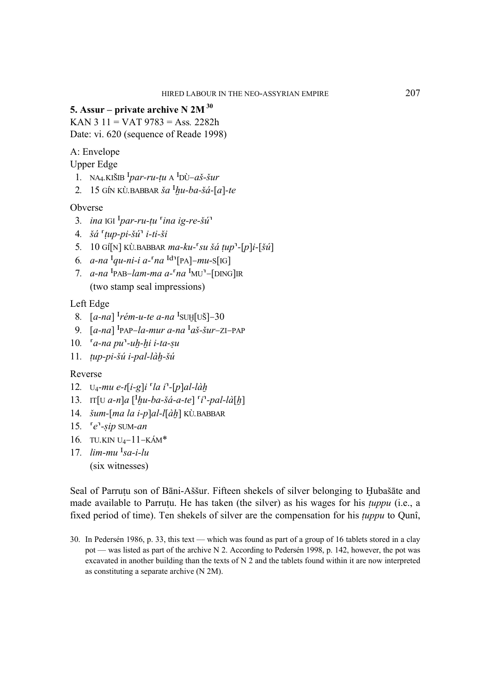## **5. Assur – private archive N 2M 30**

KAN 3 11 = VAT 9783 = Ass*.* 2282h Date: vi. 620 (sequence of Reade 1998)

A: Envelope

Upper Edge

- 1. NA<sub>4</sub>.KIŠIB  $^{I}par-ru-tu$  A  $^{I}D\dot{U}-a\dot{S}-\dot{S}ur$
- 2. 15 GÍN KÙ.BABBAR  $\check{s}a$ <sup>I</sup>hu-ba- $\check{s}a$ -[a]-te

## Obverse

- 3. *ina* IGI  $\frac{I_{par-ru-tu}}{I}$  *ina ig-re-šú*<sup>1</sup>
- *4. ^á* {*\up-pi-^ú*} *i-ti-^i*
- *5. 10 GÍ[N] KÙ.BABBAR ma-ku-*{*su ^á \up*}*-[p]i-[^ú]*
- *6.*  $a$ -na <sup> $I$ </sup>qu-ni-i  $a$ - $[a$ <sup> $I$ </sup> $n$  $a$ <sup> $I$ </sup> $[PA]$ -mu-S[IG]
- *7. a-na* <sup>I</sup>PAB–lam-ma a-<sup> $\lceil n a \rceil$ MU<sup> $\lceil -\lceil$ DING]IR</sup></sup> (two stamp seal impressions)

Left Edge

- *8.*  $[a-na]$ <sup>*Irém-u-te a-na*<sup>*I*</sup>SUH[UŠ]–30</sup>
- 9.  $[a-na]$ <sup>I</sup>PAP–la-mur a-na <sup>I</sup>aš-šur–ZI–PAP
- 10. <sup>*a-na pu*<sup> $1$ </sup>-uh-hi *i-ta-su*</sup>
- *11. \up-pi-^ú i-pal-là~-^ú*

### Reverse

- 12. U<sub>4</sub>-mu e-t[i-g]i <sup>r</sup>la i<sup>1</sup>-[p]al-làh
- 13. IT $[U \, a-n]a \, \left[\begin{matrix} I \, hu-ba-\check{s}a-a-te \end{matrix}\right] \left[\begin{matrix} i^T\end{matrix} pal-\check{la}\right]$
- *14. ^um-[ma la i-p]al-l[à~] KÙ.BABBAR*
- 15. <sup>*e*</sup>-sip SUM-an
- *16. TU.KIN U4–11–KÁM\**
- *17. lim-mu %sa-i-lu*  (six witnesses)

Seal of Parrutu son of Bāni-Aššur. Fifteen shekels of silver belonging to Hubašāte and made available to Parrutu. He has taken (the silver) as his wages for his *tuppu* (i.e., a fixed period of time). Ten shekels of silver are the compensation for his *\uppu* to Qunî,

30. In Pedersén 1986, p. 33, this text — which was found as part of a group of 16 tablets stored in a clay pot — was listed as part of the archive N 2. According to Pedersén 1998, p. 142, however, the pot was excavated in another building than the texts of N 2 and the tablets found within it are now interpreted as constituting a separate archive (N 2M).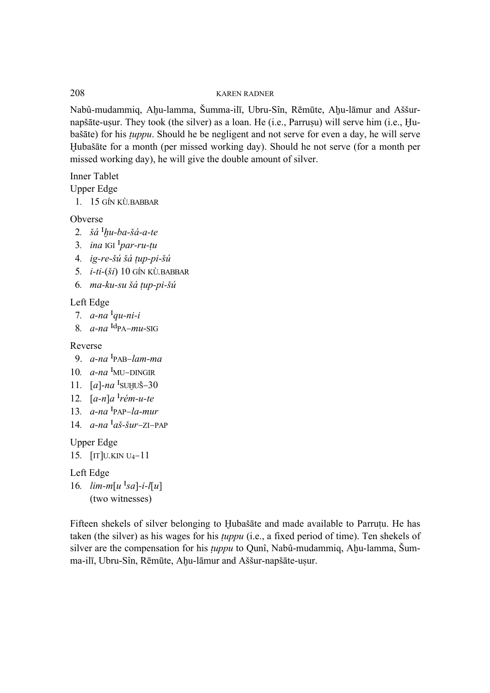Nabû-mudammiq, Ahu-lamma, Šumma-ilī, Ubru-Sîn, Rēmūte, Ahu-lāmur and Aššurnapšāte-usur. They took (the silver) as a loan. He (i.e., Parrusu) will serve him (i.e., Huba^āte) for his *\uppu*. Should he be negligent and not serve for even a day, he will serve Hubašāte for a month (per missed working day). Should he not serve (for a month per missed working day), he will give the double amount of silver.

Inner Tablet

Upper Edge

 *1. 15 GÍN KÙ.BABBAR* 

Obverse

- 2.  $\check{s}\acute{a}$ <sup>I</sup>hu-ba- $\check{s}\acute{a}$ -a-te
- 3. *ina* IGI  $\frac{I_{par-ru-tu}}{I_{par-ru-tu}}$
- *4. ig-re-^ú ^á \up-pi-^ú*
- *5. i-ti-(^i) 10 GÍN KÙ.BABBAR*
- *6. ma-ku-su ^á \up-pi-^ú*

## Left Edge

- *7.*  $a$ -na  $\frac{a}{a}$ -ni-i
- $8. a$ -na  $\frac{\text{Id}_{\text{PA}-\text{H}}}{\text{Id}_{\text{PA}-\text{H}}}\$

Reverse

- 9. *a-na %PAB–lam-ma*
- 10.  $a$ -na <sup>I</sup>MU–DINGIR
- 11. *[a]-na* <sup>*I*</sup>SUHUŠ-30
- 12.  $[a-n]a^{T}$ *rém-u-te*
- *13. a-na %PAP–la-mur*
- 14.  $a$ -na <sup> $I$ </sup>aš-šur–ZI–PAP

Upper Edge

```
15. [IT]U.KIN U4–11
```
Left Edge

16.  $lim-m[u]$ <sup>I</sup>sa]-*i*-l[u] (two witnesses)

Fifteen shekels of silver belonging to Hubašāte and made available to Parrutu. He has taken (the silver) as his wages for his *tuppu* (i.e., a fixed period of time). Ten shekels of silver are the compensation for his *tuppu* to Qunî, Nabû-mudammiq, Ahu-lamma, Šumma-ilī, Ubru-Sîn, Rēmūte, Ahu-lāmur and Aššur-napšāte-usur.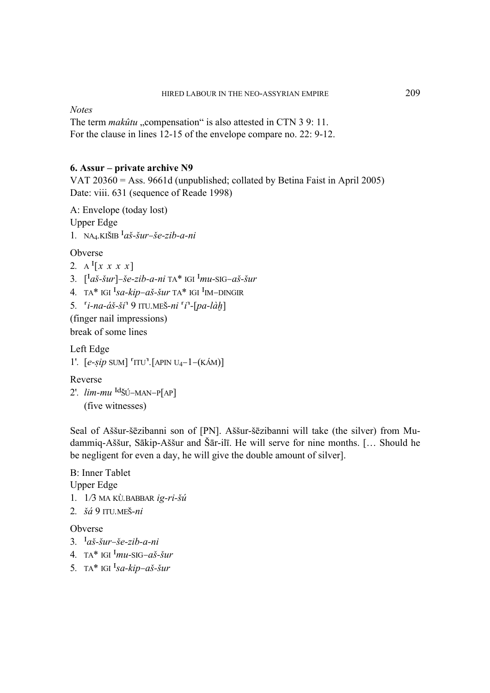**Notes** 

The term *makûtu* "compensation" is also attested in CTN 3 9: 11. For the clause in lines 12-15 of the envelope compare no. 22: 9-12.

#### 6. Assur – private archive N9

VAT  $20360 = Ass. 9661d$  (unpublished; collated by Betina Faist in April 2005) Date: viii. 631 (sequence of Reade 1998)

A: Envelope (today lost) **Upper Edge** 1. NA<sub>4</sub>.KIŠIB  $a\check{s}$ -*šur*-*še-zib-a-ni* 

Obverse

```
2. A^{I}[x \ x \ x \ x]
```
3.  $\left[ \int_{a}^{L} a \dot{s} - \dot{s}ur \right] - \dot{s}e - zib - a - ni$  TA\* IGI  $\left[ \int_{m}^{L} m u - \text{SIG} - a \dot{s} - \dot{s}ur \right]$ 

4. TA\* IGI  ${}^{I}sa-kip-a\check{s}\check{-s}ur$  TA\* IGI  ${}^{I}$ IM-DINGIR

5.  $[i-na-*d*š-*ši*<sup>T</sup> 9 ITU.MEŠ-*ni*<sup>T</sup>i<sup>T</sup>-[pa-*làh*]$ 

(finger nail impressions)

break of some lines

Left Edge 1'.  $[e-sip$  SUM]  $TUV$ . [APIN U<sub>4</sub>-1-(KÁM)]

Reverse 2'.  $lim-mu$  <sup>Id</sup>ŠÚ-MAN-P[AP]

(five witnesses)

Seal of Aššur-šēzibanni son of [PN]. Aššur-šēzibanni will take (the silver) from Mudammiq-Aššur, Sākip-Aššur and Šār-ilī. He will serve for nine months. [... Should he be negligent for even a day, he will give the double amount of silver.

**B:** Inner Tablet **Upper Edge** 1.  $1/3$  MA KÙ.BABBAR  $ig-ri-šu$ 2.  $\check{s}\acute{a}$  9 ITU.MEŠ-ni

Obverse

- 3.  $I_{a} \check{s}$ -šur-še-zib-a-ni
- 4. TA\* IGI  $\frac{I_{mu-SIG}-a\check{S}-\check{S}ur}{I_{mu-SIG}-a\check{S}-\check{S}ur}$
- 5. TA\* IGI  ${}^{I}sa$ -kip-aš-šur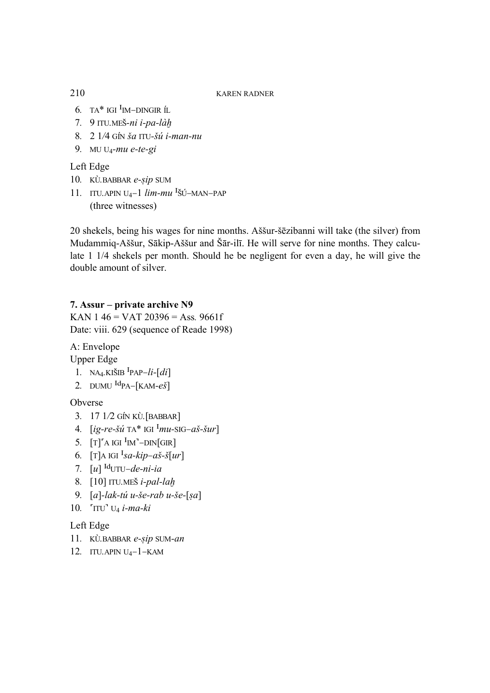- 6. TA\* IGI <sup>I</sup>IM-DINGIR ÍL
- 7. 9 ITU.MEŠ-ni i-pa-làh
- 8. 2 1/4 GÍN ša ITU-šú i-man-nu
- 9. MU  $U_4$ -mu e-te-gi

# Left Edge

- 10. KÙ.BABBAR e-sip SUM
- 11. ITU.APIN U<sub>4</sub>-1  $\lim_{m}$  <sup>I</sup>ŠÚ-MAN-PAP (three witnesses)

20 shekels, being his wages for nine months. Aššur-šēzibanni will take (the silver) from Mudammiq-Aššur, Sākip-Aššur and Šār-ilī. He will serve for nine months. They calculate 1 1/4 shekels per month. Should he be negligent for even a day, he will give the double amount of silver.

## 7. Assur – private archive N9

KAN 146 = VAT 20396 = Ass. 9661f Date: viii. 629 (sequence of Reade 1998)

A: Envelope

- **Upper Edge**
- 1. NA<sub>4</sub>.KIŠIB<sup>I</sup>PAP- $li$ -[di]
- 2. DUMU  $\text{Id}_{\text{PA}-\text{KAM-}e\check{\text{S}}}$

Obverse

- 3. 17 1/2 GÍN KÙ. [BABBAR]
- 4.  $[ig-re-\check{su}^{\dagger}]$  TA\* IGI  $^{\text{I}}mu\text{-}SIG-\check{as}-\check{su}r]$
- 5.  $[T]$ <sup>A</sup> IGI<sup>I</sup>IM<sup>3</sup>-DIN[GIR]
- 6.  $[T]$ A IGI <sup>I</sup>sa-kip-aš-š $[ur]$
- 7.  $[u]$ <sup>Id</sup>UTU-de-ni-ia
- 8. [10] ITU.MEŠ *i-pal-lah*
- 9.  $[a]$ -lak-tú u-še-rab u-še- $[sa]$
- 10.  $\int$ TTU<sup>-</sup> U<sub>4</sub> i-ma-ki

## Left Edge

- 11. KÙ.BABBAR e-sip SUM-an
- 12. ITU.APIN  $U_4 1 KAM$

210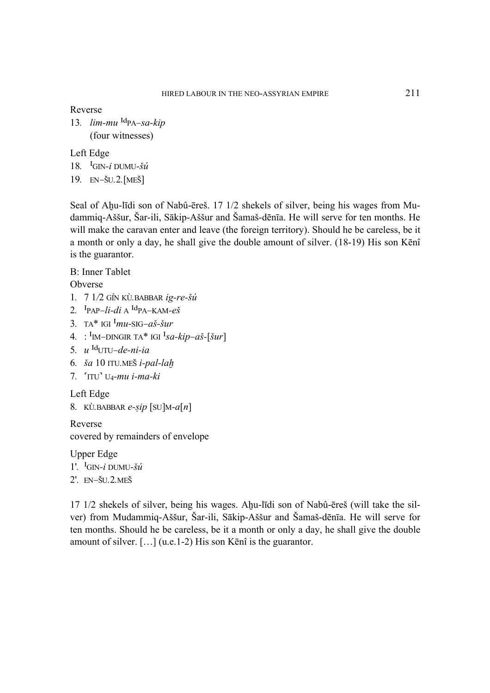Reverse

13.  $lim-mu$ <sup>Id</sup>PA–sa-kip (four witnesses)

Left Edge

- 18. <sup>I</sup>GIN-*i* DUMU- $\check{s}\acute{u}$
- *19. EN–&U.2.[ME&]*

Seal of Ahu-līdi son of Nabû-ēreš. 17 1/2 shekels of silver, being his wages from Mudammiq-Aššur, Šar-ili, Sākip-Aššur and Šamaš-dēnīa. He will serve for ten months. He will make the caravan enter and leave (the foreign territory). Should he be careless, be it a month or only a day, he shall give the double amount of silver. (18-19) His son Kēnî is the guarantor.

B: Inner Tablet

Obverse

- *1. 7 1/2 GÍN KÙ.BABBAR ig-re-^ú*
- 2. <sup>I</sup>PAP–*li-di* A <sup>Id</sup>PA–KAM- $e\check{s}$
- 3. TA\* IGI  $^{\text{I}}$ *mu*-SIG– $a\check{s}$ - $\check{s}ur$
- 4. : <sup>I</sup>IM–DINGIR TA\* IGI <sup>I</sup>sa-kip–aš-[šur]
- *5. u %oUTU–de-ni-ia*
- *6. ^a 10 ITU.ME& i-pal-la~*
- *7. {ITU} U4-mu i-ma-ki*

Left Edge

```
8. KÙ.BABBAR e-sip [SU]M-a[n]
```
Reverse covered by remainders of envelope

Upper Edge *1'. %GIN-i DUMU-^ú 2'. EN–&U.2.ME&* 

 $17 \frac{1}{2}$  shekels of silver, being his wages. Ahu-līdi son of Nabû-ēreš (will take the silver) from Mudammiq-Aššur, Šar-ili, Sākip-Aššur and Šamaš-dēnīa. He will serve for ten months. Should he be careless, be it a month or only a day, he shall give the double amount of silver. […] (u.e.1-2) His son Kēnî is the guarantor.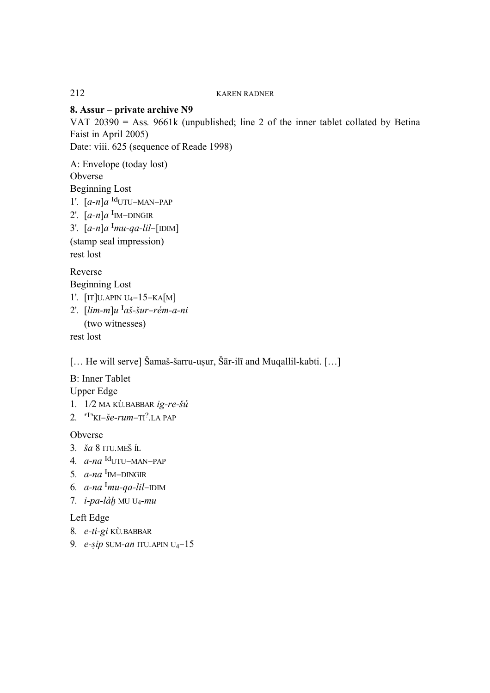## **8. Assur – private archive N9**

VAT 20390 = Ass*.* 9661k (unpublished; line 2 of the inner tablet collated by Betina Faist in April 2005) Date: viii. 625 (sequence of Reade 1998)

A: Envelope (today lost) Obverse Beginning Lost *1'.* [a-n]a <sup>Id</sup>UTU–MAN–PAP 2'.  $[a-n]a$ <sup>I</sup>IM–DINGIR 3'.  $[a-n]a^{1}mu-qa-lil-[IDIM]$ (stamp seal impression) rest lost Reverse

Beginning Lost *1'. [IT]U.APIN U4–15–KA[M]*  2'.  $\lim_{m|u}$ <sup>I</sup>aš-šur–rém-a-ni

(two witnesses)

rest lost

 $[...$  He will serve] Šamaš-šarru-uṣur, Šār-ilī and Muqallil-kabti.  $[...]$ 

B: Inner Tablet Upper Edge

- *1. 1/2 MA KÙ.BABBAR ig-re-^ú*
- *2. {%}KI–^e-rum–TI?.LA PAP*

Obverse

- *3. ^a 8 ITU.ME& ÍL*
- 4. *a-na* <sup>Id</sup>UTU–MAN–PAP
- 5.  $a$ -na <sup>I</sup><sub>M</sub>–DINGIR
- 6.  $a$ -na <sup>I</sup>mu-qa-lil–IDIM
- *7. i-pa-là~ MU U4-mu*

Left Edge

- *8. e-ti-gi KÙ.BABBAR*
- 9. *e-sip* SUM-*an* ITU.APIN U<sub>4</sub>-15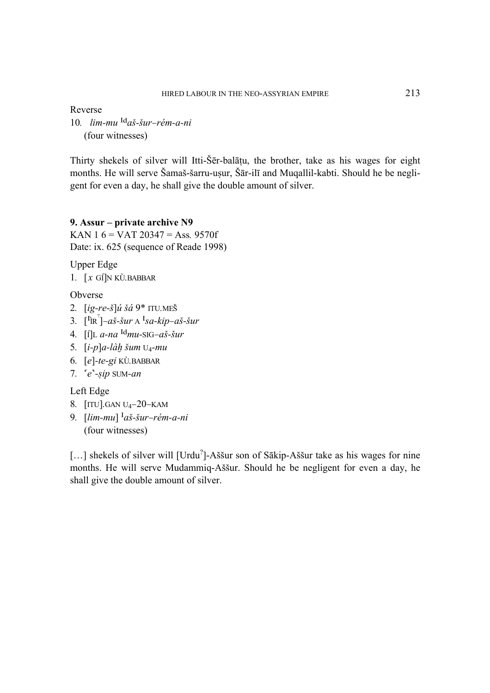Reverse

10. *lim-mu* <sup>Id</sup>aš-šur–rém-a-ni (four witnesses)

Thirty shekels of silver will Itti-Ser-balatu, the brother, take as his wages for eight months. He will serve Šamaš-šarru-u sur, Šār-ilī and Muqallil-kabti. Should he be negligent for even a day, he shall give the double amount of silver.

## **9. Assur – private archive N9**

KAN 1 6 = VAT 20347 = Ass*.* 9570f Date: ix. 625 (sequence of Reade 1998)

Upper Edge

*1. [x GÍ]N KÙ.BABBAR* 

Obverse

- *2. [ig-re-^]ú ^á 9\* ITU.ME&*
- 3.  $\left[\begin{matrix} \n\text{I} \text{R} \n\end{matrix}\right]$ –aš-šur A  $\text{I}$ sa-kip–aš-šur
- 4.  $\int \int L \, a \cdot na \, \frac{d}{m} u \text{SiG} a \dot{s} \cdot \dot{s} u$
- 5.  $[i-p]$ *a-làh* šum U<sub>4</sub>-mu
- *6. [e]-te-gi KÙ.BABBAR*
- *7. {e}-#ip SUM-an*

### Left Edge

- *8. [ITU].GAN U4–20–KAM*
- 9. *[lim-mu]* <sup>*Iaš-šur–rém-a-ni*</sup> (four witnesses)

[...] shekels of silver will  $[Urdu^2]$ -Aššur son of Sākip-Aššur take as his wages for nine months. He will serve Mudammiq-Aššur. Should he be negligent for even a day, he shall give the double amount of silver.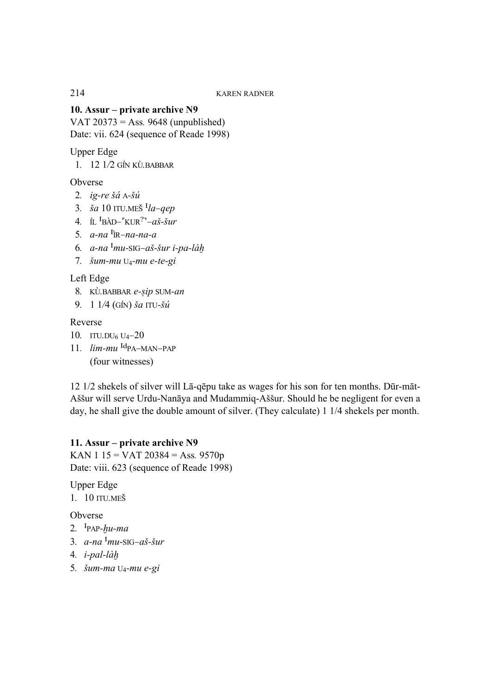**10. Assur – private archive N9** 

VAT 20373 = Ass*.* 9648 (unpublished) Date: vii. 624 (sequence of Reade 1998)

Upper Edge

 *1. 12 1/2 GÍN KÙ.BABBAR*

Obverse

- *2. ig-re ^á A-^ú*
- *3. ^a 10 ITU.ME& %la–qep*
- 4. IL  $\frac{I_B}{A}$ BÀD–<sup> $\frac{I_{\text{KUR}}}{I}$ <sup>-</sup> $a\check{s}$ - $\check{s}ur$ </sup>
- *5. a-na %ÌR–na-na-a*
- 6.  $a$ -na <sup>I</sup>mu-SIG-aš-šur *i-pa-làh*
- *7. ^um-mu U4-mu e-te-gi*

Left Edge

- 8. KÙ.BABBAR e-sip SUM-an
- *9. 1 1/4 (GÍN) ^a ITU-^ú*

Reverse

- *10. ITU.DU6 U4–20*
- 11.  $lim-mu$ <sup>Id</sup>PA–MAN–PAP

(four witnesses)

12 1/2 shekels of silver will Lā-qēpu take as wages for his son for ten months. Dūr-māt-Aššur will serve Urdu-Nanāya and Mudammiq-Aššur. Should he be negligent for even a day, he shall give the double amount of silver. (They calculate) 1 1/4 shekels per month.

## **11. Assur – private archive N9**

KAN 1 15 = VAT 20384 = Ass*.* 9570p Date: viii. 623 (sequence of Reade 1998)

Upper Edge

*1. 10 ITU.ME&* 

Obverse

- $2.$  <sup>I</sup>PAP- $hu$ -ma
- 3.  $a$ -na <sup>I</sup>mu-SIG-aš-šur
- 4. *i-pal-làh*
- *5. ^um-ma U4-mu e-gi*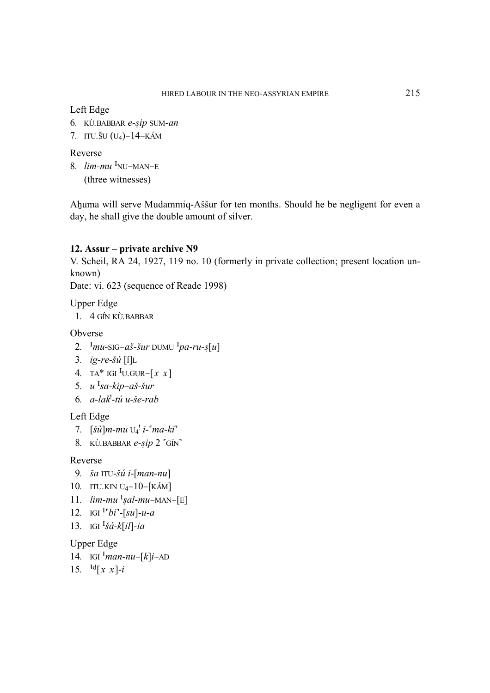## Left Edge

- 6. KÙ.BABBAR e-sip SUM-an
- 7. ITU.ŠU  $(U_4)$ –14–KÁM

## Reverse

8.  $lim-mu$ <sup>I</sup>NU-MAN-E (three witnesses)

Ahuma will serve Mudammiq-Aššur for ten months. Should he be negligent for even a day, he shall give the double amount of silver.

# 12. Assur – private archive N9

V. Scheil, RA 24, 1927, 119 no. 10 (formerly in private collection; present location unknown)

Date: vi. 623 (sequence of Reade 1998)

**Upper Edge** 

1.  $4$  GÍN KÙ BABBAR

Obverse

- 2.  $Imu$ -SIG-aš-šur DUMU  $Imu$ -ru-s[u]
- 3. ig-re-šú  $[i]$ L
- 4. TA\* IGI <sup>I</sup>U.GUR- $\lceil x \ x \rceil$
- 5.  $u<sup>T</sup>sa-kip-aš-sur$
- 6.  $a$ -lak<sup>1</sup>-tú u-še-rab

Left Edge

- 7.  $[\check{su}]$ m-mu  $U_4$ <sup>!</sup> i-'ma-ki'
- 8. KÙ.BABBAR e-sip 2 'GÍN'

### Reverse

- 9. ša ITU-šú i- $[man-nu]$
- 10. ITU.KIN U<sub>4</sub> $-10$ <sup> $KAM$ </sup>]
- 11.  $lim-mu$ <sup>I</sup>sal-mu-MAN-[E]
- 12. IGI  ${}^{I^{r}}bi$ <sup>-</sup>-[su]-u-a
- 13. IGI  $\frac{1}{3}a k[i] ia$

## **Upper Edge**

- 14. IGI  $\frac{1}{m}$ an-nu-[k]i-AD
- 15.  $\text{Id}[x \ x]-i$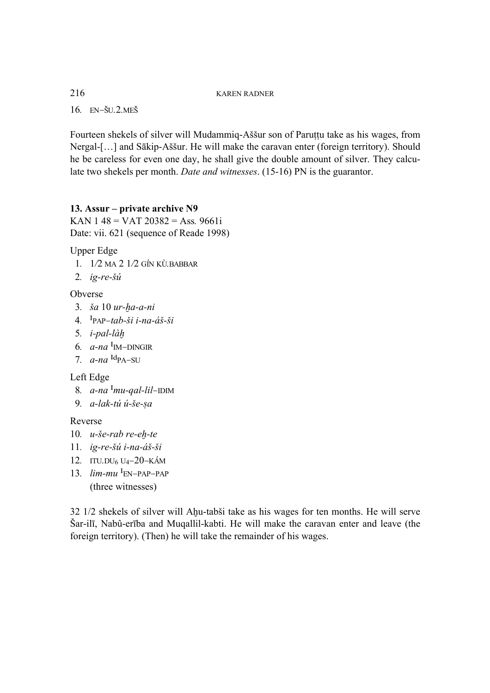*16. EN–&U.2.ME&*

Fourteen shekels of silver will Mudammiq-Aššur son of Paruttu take as his wages, from Nergal-[...] and Sākip-Aššur. He will make the caravan enter (foreign territory). Should he be careless for even one day, he shall give the double amount of silver. They calculate two shekels per month. *Date and witnesses*. (15-16) PN is the guarantor.

## **13. Assur – private archive N9**

KAN 1 48 = VAT 20382 = Ass*.* 9661i Date: vii. 621 (sequence of Reade 1998)

Upper Edge

- *1. 1/2 MA 2 1/2 GÍN KÙ.BABBAR*
- *2. ig-re-^ú*

## Obverse

- 3. *ša* 10 *ur-ha-a-ni*
- 4. <sup>I</sup>PAP–tab-ši i-na-áš-ši
- 5. *i-pal-làh*
- 6.  $a$ -na <sup>I</sup><sub>IM</sub>–DINGIR
- $7. a$ -na  $\frac{\text{Id}_{\text{PA}-\text{SU}}}{a}$

### Left Edge

- 8.  $a$ -na <sup>I</sup>mu-gal-lil–IDIM
- 9. *a-lak-tú ú-še-sa*

### Reverse

- 10. *u-še-rab re-eh-te*
- *11. ig-re-^ú i-na-á^-^i*
- *12. ITU.DU6 U4–20–KÁM*
- 13.  $lim-mu$ <sup>I</sup>EN–PAP–PAP (three witnesses)

 $32$  1/2 shekels of silver will Ahu-tabši take as his wages for ten months. He will serve &ar-ilī, Nabû-erība and Muqallil-kabti. He will make the caravan enter and leave (the foreign territory). (Then) he will take the remainder of his wages.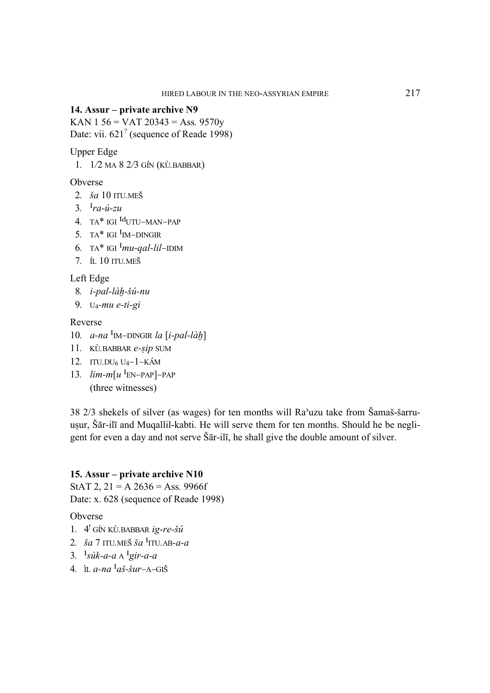### 14. Assur – private archive N9

KAN 1 56 = VAT 20343 = Ass. 9570y Date: vii. 621<sup>?</sup> (sequence of Reade 1998)

**Upper Edge** 

1.  $1/2$  MA  $8$   $2/3$  GÍN (KÙ.BABBAR)

Obverse

- 2.  $\check{g}a$  10 ITU.MEŠ
- 3.  $I_{ra-i} zu$
- 4. TA\* IGI  $^{Id}$ UTU-MAN-PAP
- 5. TA\* IGI  ${}^I$ IM-DINGIR
- 6. TA\* IGI  $^{I}mu$ -gal-lil-IDIM
- 7. ft. 10 ITU.MEŠ

Left Edge

- 8. i-pal-làh-šú-nu
- 9.  $U_4$ -mu e-ti-gi

## Reverse

- 10.  $a$ -na <sup>I</sup><sub>IM</sub>-DINGIR *la* [*i*-pal-làh]
- 11. KÙ.BABBAR e-sip SUM
- 12. ITU.DU<sub>6</sub> U<sub>4</sub> $-1 K$ ÁM
- 13.  $lim-m[u^I_{EN-PAP}]$ -PAP (three witnesses)

38 2/3 shekels of silver (as wages) for ten months will Ra'uzu take from Šamaš-šarruusur, Šār-ilī and Muqallil-kabti. He will serve them for ten months. Should he be negligent for even a day and not serve Sar-ili, he shall give the double amount of silver.

### 15. Assur – private archive N10

StAT 2,  $21 = A$  2636 = Ass. 9966f Date: x. 628 (sequence of Reade 1998)

Obverse

- 1.  $4'$  GÍN KÙ. BABBAR  $i\varrho$ -re-šú
- 2.  $\check{a}$  7 ITU.MEŠ  $\check{a}$ <sup>I</sup>ITU.AB-a-a
- 3.  $I_s \hat{u}k-a-a \wedge I_g \hat{i}r-a-a$
- 4. IL  $a$ -na <sup>I</sup> $a\check{s}$ - $\check{s}ur$ -A-GIŠ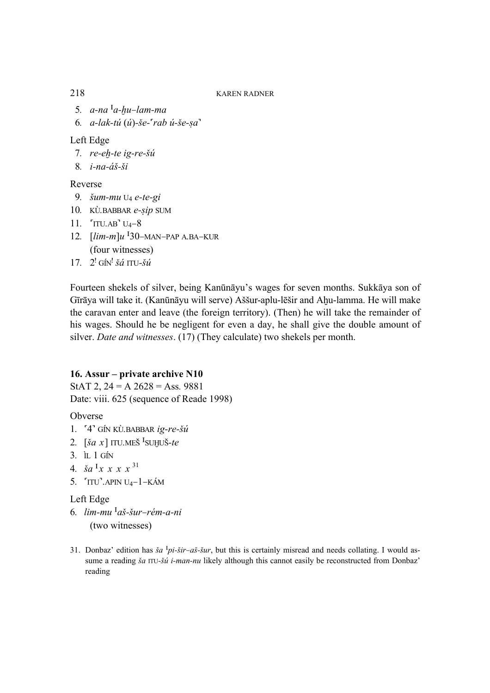- 5. a-na <sup>I</sup>a-hu-lam-ma
- *6. a-lak-tú (ú)-^e-{rab ú-^e-#a}*

## Left Edge

- 7. re-eh-te ig-re-šú
- *8. i-na-á^-^i*

## Reverse

- *9. ^um-mu U4 e-te-gi*
- 10. KÙ.BABBAR e-sip SUM
- *11. {ITU.AB} U4–8*
- *12. [lim-m]u %30–MAN–PAP A.BA–KUR*  (four witnesses)
- *17. 2! GÍN! ^á ITU-^ú*

Fourteen shekels of silver, being Kanūnāyu's wages for seven months. Sukkāya son of Gīrāya will take it. (Kanūnāyu will serve) Aššur-aplu-lēšir and Ahu-lamma. He will make the caravan enter and leave (the foreign territory). (Then) he will take the remainder of his wages. Should he be negligent for even a day, he shall give the double amount of silver. *Date and witnesses*. (17) (They calculate) two shekels per month.

## **16. Assur – private archive N10**

StAT 2, 24 = A 2628 = Ass*.* 9881 Date: viii. 625 (sequence of Reade 1998)

Obverse

- *1. {4} GÍN KÙ.BABBAR ig-re-^ú*
- 2.  $\left[\begin{array}{c} \xi a \ x \end{array}\right]$  ITU.MEŠ  $^I$ SUHUŠ-te
- *3. ÌL 1 GÍN*
- 4.  $\check{a}a^{x}x x x^{31}$
- *5. {ITU}.APIN U4–1–KÁM*

## Left Edge

- *6. lim-mu %a^-^ur–rém-a-ni* (two witnesses)
- 31. Donbaz' edition has  $\ddot{s}a^T\dot{p}i-\ddot{s}i\dot{r}-a\ddot{s}-\ddot{s}i\dot{r}$ , but this is certainly misread and needs collating. I would assume a reading *ša* ITU-*šú i-man-nu* likely although this cannot easily be reconstructed from Donbaz' reading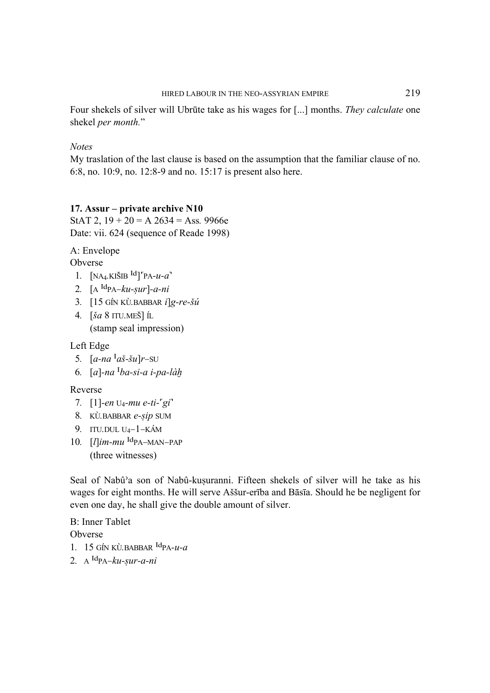Four shekels of silver will Ubrute take as his wages for [...] months. They calculate one shekel per month."

## **Notes**

My traslation of the last clause is based on the assumption that the familiar clause of no. 6:8, no. 10:9, no. 12:8-9 and no. 15:17 is present also here.

## 17. Assur – private archive N10

StAT 2,  $19 + 20 = A$  2634 = Ass. 9966e Date: vii. 624 (sequence of Reade 1998)

A: Envelope

Obverse

- 1.  $[NA<sub>4</sub> KIŠIB<sup>Id</sup>]<sup>r</sup>PA- $u-a$ <sup>r</sup>$
- 2.  $[A^{Id}PA-ku-sur]-a-ni$
- 3. [15 GÍN KÙ.BABBAR  $i$ ]g-re-šú
- 4.  $\left[\begin{array}{c} \n\sqrt{5a} & 8 \text{ ITU.ME} \n\end{array}\right]$  *IL* (stamp seal impression)

Left Edge

- 5.  $[a-na<sup>T</sup>a\check{s}-\check{s}u]r-SU$
- 6.  $[a]$ -na  $\frac{I}{ba}$ -si-a i-pa-làh

## Reverse

- 7.  $[1]$ -en U<sub>4</sub>-mu e-ti-'gi'
- 8. KÙ.BABBAR e-sip SUM
- 9. ITU.DUL  $U_4 1 KAM$
- 10.  $[I]$ *im-mu*  $^{Id}$ PA-MAN-PAP (three witnesses)

Seal of Nabû'a son of Nabû-kuşuranni. Fifteen shekels of silver will he take as his wages for eight months. He will serve Aššur-erība and Bāsīa. Should he be negligent for even one day, he shall give the double amount of silver.

**B:** Inner Tablet Obverse 1. 15 GÍN KÙ BABBAR  $\text{Id}_{\text{PA}-\mathcal{U}-\mathcal{U}}$ 2.  $A^{Id}PA-ku-sur-a-ni$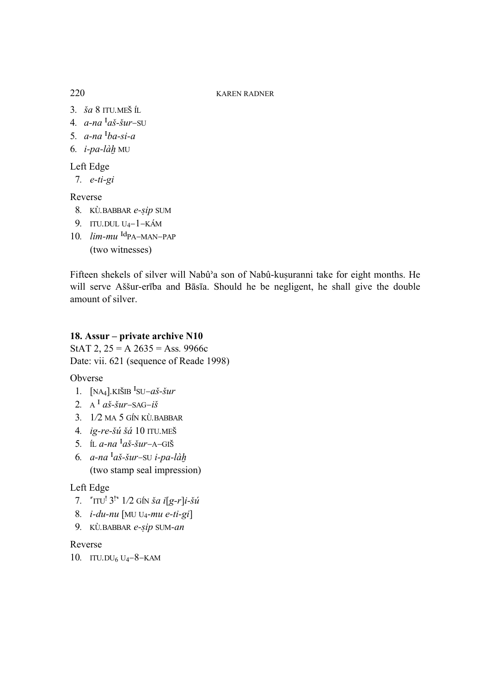- 3.  $\check{s}a$  8 ITU.MEŠ ÍL
- 4.  $a$ -na <sup>I</sup>aš-šur-SU
- 5.  $a$ -na  $a$ -si-a
- 6.  $i$ -pa-làh MU

# Left Edge

7.  $e-ti-gi$ 

## Reverse

- 8. KÙ.BABBAR e-sip SUM
- 9. ITU.DUL  $U_4-1-K\dot{A}M$
- 10. *lim-mu* <sup>Id</sup>PA-MAN-PAP (two witnesses)

Fifteen shekels of silver will Nabû'a son of Nabû-kuşuranni take for eight months. He will serve Aššur-erība and Bāsīa. Should he be negligent, he shall give the double amount of silver.

## 18. Assur – private archive N10

StAT 2,  $25 = A$   $2635 = Ass.9966c$ Date: vii. 621 (sequence of Reade 1998)

## Obverse

- 1.  $[NA_4]$ .KIŠIB <sup>I</sup>SU-aš-šur
- 2.  $A^I a\check{s}$ - $\check{s}ur$ -SAG- $i\check{s}$
- 3. 1/2 MA 5 GÍN KÙ. BABBAR
- 4. ig-re-šú šá 10 ITU.MEŠ
- 5. IL a-na  $a^I$ aš-šur-A-GIŠ
- 6.  $a$ -na <sup>I</sup>aš-šur-su i-pa-làh (two stamp seal impression)

## Left Edge

- 7.  $\text{Tr} U^1 3^{1} 1/2 \text{ G/N } \xi a i [g-r]i \xi u$
- 8.  $i$ -du-nu [MU U<sub>4</sub>-mu e-ti-gi]
- 9. KÙ.BABBAR e-sip SUM-an

## Reverse

10. ITU.DU<sub>6</sub> U<sub>4</sub> $-8$ <sup> $-$ </sup>KAM

220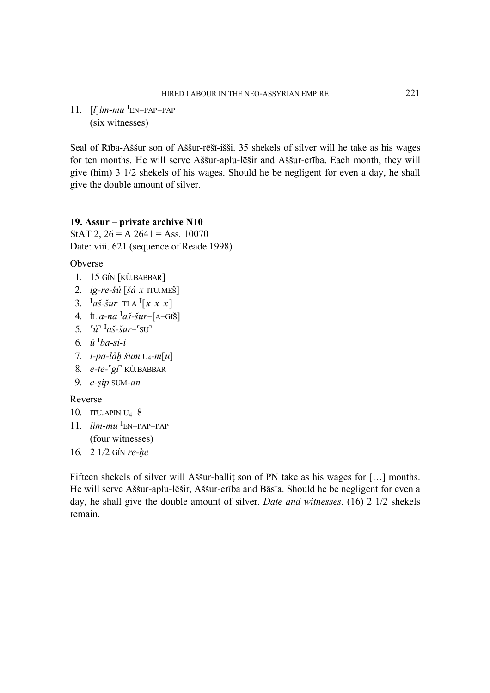11.  $[I]$ *im-mu*  $^{I}$ EN–PAP–PAP (six witnesses)

Seal of Rība-Aššur son of Aššur-rēšī-išši. 35 shekels of silver will he take as his wages for ten months. He will serve Aššur-aplu-lēšir and Aššur-erība. Each month, they will give (him) 3 1/2 shekels of his wages. Should he be negligent for even a day, he shall give the double amount of silver.

## **19. Assur – private archive N10**

StAT 2,  $26 = A 2641 = Ass. 10070$ Date: viii. 621 (sequence of Reade 1998)

Obverse

- *1. 15 GÍN [KÙ.BABBAR]*
- *2. ig-re-^ú [^á x ITU.ME&]*
- 3.  $Ia\check{s}$ - $\check{s}ur$ –TI A  $I[x \times x]$
- 4. ÍL *a-na*  $a^T a \check{s}$ - $\check{s}ur$ –[A–GIŠ]
- 5.  $\vec{u}$ <sup>-</sup> $a\check{s}$ - $\check{s}ur$ – $\vec{SU}$
- $6. \quad \hat{u}$ <sup>I</sup>ba-si-i
- 7. *i-pa-làh šum* U<sub>4</sub>-m[u]
- *8. e-te-{gi} KÙ.BABBAR*
- 9. *e-sip* SUM-an

## Reverse

- *10. ITU.APIN U4–8*
- 11. *lim-mu* <sup>I</sup>EN–PAP–PAP (four witnesses)
- 16. 2 1/2 GÍN re-he

Fifteen shekels of silver will Aššur-ballit son of PN take as his wages for  $[...]$  months. He will serve Aššur-aplu-lēšir, Aššur-erība and Bāsīa. Should he be negligent for even a day, he shall give the double amount of silver. *Date and witnesses*. (16) 2 1/2 shekels remain.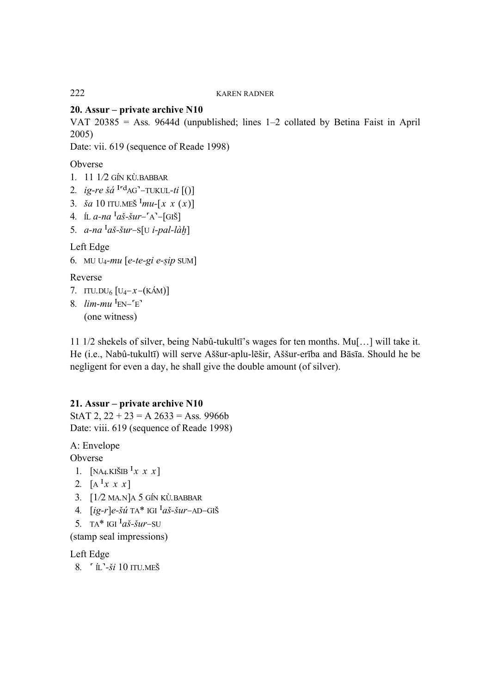## **20. Assur – private archive N10**

VAT 20385 = Ass*.* 9644d (unpublished; lines 1–2 collated by Betina Faist in April 2005)

Date: vii. 619 (sequence of Reade 1998)

Obverse

- *1. 11 1/2 GÍN KÙ.BABBAR*
- 2. *ig-re*  $\check{g}a$   $I^r$ <sup>d</sup>AG<sup> $-$ </sup>–TUKUL-ti  $[()]$
- 3.  $\check{a}a$  10 ITU.MEŠ  $\chi$ <sup>I</sup>mu-[x x (x)]
- 4. ÍL *a-na*  $a^T a \check{s}$ - $\check{s}ur$ – $A^-$ [GI $\check{s}$ ]
- 5.  $a$ -na <sup>I</sup>aš-šur–S[U *i-pal-làh*]

## Left Edge

```
6. MU U<sub>4</sub>-mu [e-te-gi e-sip SUM]
```
## Reverse

- *7. ITU.DU6 [U4–x–(KÁM)]*
- *8. lim-mu %EN–{E}*  (one witness)

11 1/2 shekels of silver, being Nabû-tukultī's wages for ten months. Mu[…] will take it. He (i.e., Nabû-tukultī) will serve Aššur-aplu-lēšir, Aššur-erība and Bāsīa. Should he be negligent for even a day, he shall give the double amount (of silver).

## **21. Assur – private archive N10**

StAT 2,  $22 + 23 = A\,2633 = Ass.9966b$ Date: viii. 619 (sequence of Reade 1998)

A: Envelope Obverse

- 1.  $[NA_4.KIŠIB<sup>T</sup>x x x]$
- 2.  $[A^{\{1}x \; x \; x]\}$
- *3. [1/2 MA.N]A 5 GÍN KÙ.BABBAR*
- 4.  $[ig-r]e-šu$ <sup>r</sup> TA\* IGI  $[a\check{s}-\check{s}ur$ –AD–GIŠ
- 5. TA\* IGI  $a\ddot{s}$ - $\ddot{s}ur$ –SU

(stamp seal impressions)

Left Edge

 *8. { ÍL}-^i 10 ITU.ME&*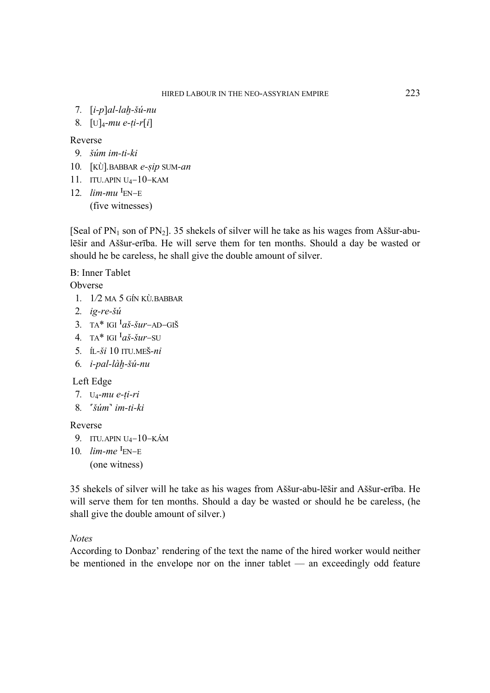- *7. [i-p]al-la~-^ú-nu*
- 8.  $[U]_4$ *-mu e-ti-r[i]*

#### Reverse

- *9. ^úm im-ti-ki*
- 10. [KÙ].BABBAR e-sip SUM-an
- *11. ITU.APIN U4–10–KAM*
- 12.  $lim-mu$ <sup>I</sup>EN–E (five witnesses)

[Seal of PN<sub>1</sub> son of PN<sub>2</sub>]. 35 shekels of silver will he take as his wages from Assur-abulēšir and Aššur-erība. He will serve them for ten months. Should a day be wasted or should he be careless, he shall give the double amount of silver.

B: Inner Tablet

Obverse

- *1. 1/2 MA 5 GÍN KÙ.BABBAR*
- *2. ig-re-^ú*
- 3. TA\* IGI  $a\check{s}$ - $\check{s}ur$ –AD–GIŠ
- 4. TA<sup>\*</sup> IGI  $\frac{I_a}{\tilde{S}-\tilde{S}}ur$ –SU
- *5. ÍL-^i 10 ITU.ME&-ni*
- *6. i-pal-là~-^ú-nu*

#### Left Edge

- *7. U4-mu e-\i-ri*
- *8. {^úm} im-ti-ki*

### Reverse

- *9. ITU.APIN U4–10–KÁM*
- 10. *lim-me* <sup>I</sup>EN–E (one witness)

35 shekels of silver will he take as his wages from A^^ur-abu-lē^ir and A^^ur-erība. He will serve them for ten months. Should a day be wasted or should he be careless, (he shall give the double amount of silver.)

#### *Notes*

According to Donbaz' rendering of the text the name of the hired worker would neither be mentioned in the envelope nor on the inner tablet — an exceedingly odd feature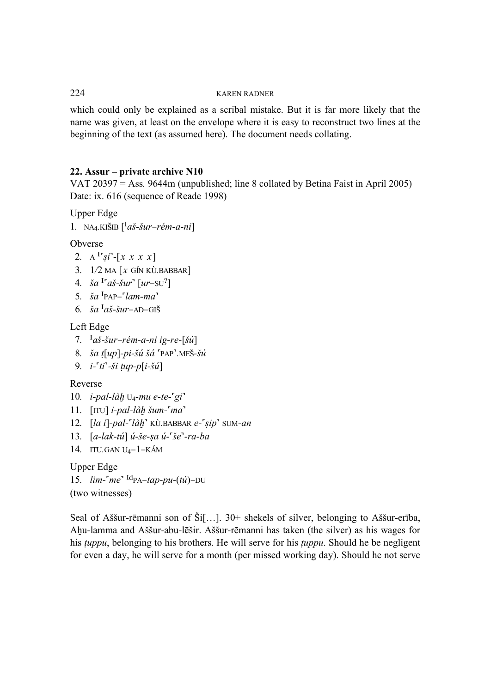which could only be explained as a scribal mistake. But it is far more likely that the name was given, at least on the envelope where it is easy to reconstruct two lines at the beginning of the text (as assumed here). The document needs collating.

## **22. Assur – private archive N10**

VAT 20397 = Ass*.* 9644m (unpublished; line 8 collated by Betina Faist in April 2005) Date: ix. 616 (sequence of Reade 1998)

Upper Edge

```
1. NA<sub>4</sub>.KIŠIB \left[ \begin{matrix} I & \tilde{a} \\ \tilde{b} & -\tilde{b} \\ \tilde{c} & \tilde{c} \end{matrix} \right]
```
Obverse

- 2. A <sup>I</sup><sup>r</sup>si<sup>3</sup>-[x x x x]
- *3. 1/2 MA [x GÍN KÙ.BABBAR]*
- 4.  $\check{a} a^{1} a \check{s} \check{s} u r^{3} [u r \mathrm{SU}^{2}]$
- 5.  $\check{a}$ <sup>I</sup>PAP– $\check{a}$ *Iam-ma*<sup>2</sup>
- 6.  $\check{a}a^{T}a\check{s}\text{-}\check{s}ur$ –AD–GIŠ

## Left Edge

- 7.  $\frac{I_a \times S_a}{\text{Var}-r\text{e}m-a-ni}$  ig-re-[ $\frac{\delta \hat{u}}{\text{Var}}$ ]
- 8.  $\check{a}$   $t \left[ up \right]-pi \check{a}$ *ú šá*  $PAP$ .MEŠ- $\check{a}$ *ú*
- *9. i-{ti}-^i \up-p[i-^ú]*

## Reverse

- *10. i-pal-là~ U4-mu e-te-{gi}*
- *11.* [ITU] *i-pal-làh šum-'ma*
- *12. [la i]-pal-'làh'* KÙ.BABBAR e-'sip' SUM-an
- *13. [a-lak-tú] ú-^e-#a ú-{^e}-ra-ba*
- *14. ITU.GAN U4–1–KÁM*

Upper Edge 15.  $\lim_{h \to \infty} \frac{d}{d} P_{A} - \frac{d}{d} P_{B} - \frac{d}{d} P_{C} - \frac{d}{d} P_{D}$ (two witnesses)

Seal of Aššur-rēmanni son of Ši $[...]$ . 30+ shekels of silver, belonging to Aššur-erība, Ahu-lamma and Aššur-abu-lēšir. Aššur-rēmanni has taken (the silver) as his wages for his *tuppu*, belonging to his brothers. He will serve for his *tuppu*. Should he be negligent for even a day, he will serve for a month (per missed working day). Should he not serve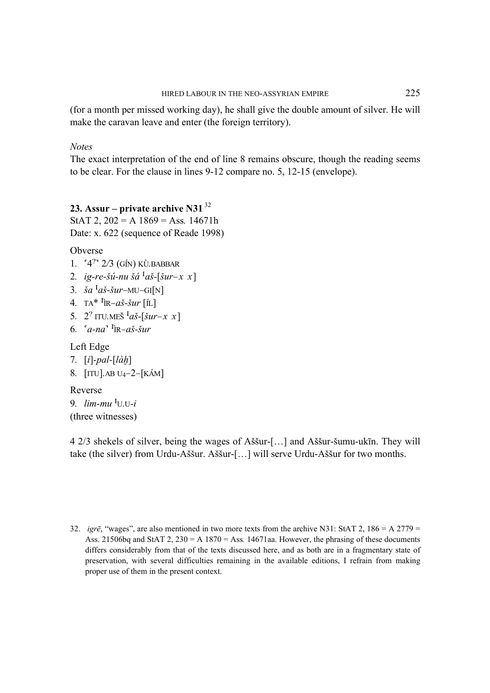(for a month per missed working day), he shall give the double amount of silver. He will make the caravan leave and enter (the foreign territory).

*Notes* 

The exact interpretation of the end of line 8 remains obscure, though the reading seems to be clear. For the clause in lines 9-12 compare no. 5, 12-15 (envelope).

## **23. Assur – private archive N31**<sup>32</sup>

StAT 2,  $202 = A$  1869 = Ass. 14671h Date: x. 622 (sequence of Reade 1998)

Obverse

- *1. {4?} 2/3 (GÍN) KÙ.BABBAR*
- 2. ig-re-šú-nu šá <sup>I</sup>aš-[šur–x x]
- 3.  $\check{a}a^{I}a\check{s}\text{-}\check{s}ur-MU-GI[N]$
- 4. TA<sup>\*  $I_{\text{IR}-a\check{S}-\check{S}ur}$  [ÍL]</sup>
- 5. 2<sup>?</sup> ITU.MEŠ <sup>*I*</sup>*aš*-[*šur–x x*]
- 6.  $[a-na^T]$ **R**– $a\check{s}$ - $\check{s}ur$

Left Edge

- *7. [i]-pal-[là~]*
- *8. [ITU].AB U4–2–[KÁM]*

Reverse

*9. lim-mu %U.U-i*  (three witnesses)

4 2/3 shekels of silver, being the wages of A^^ur-[…] and A^^ur-^umu-ukīn. They will take (the silver) from Urdu-Aššur. Aššur-[...] will serve Urdu-Aššur for two months.

32. *igrē*, "wages", are also mentioned in two more texts from the archive N31: StAT 2, 186 = A 2779 = Ass. 21506bq and StAT 2, 230 = A 1870 = Ass*.* 14671aa. However, the phrasing of these documents differs considerably from that of the texts discussed here, and as both are in a fragmentary state of preservation, with several difficulties remaining in the available editions, I refrain from making proper use of them in the present context.